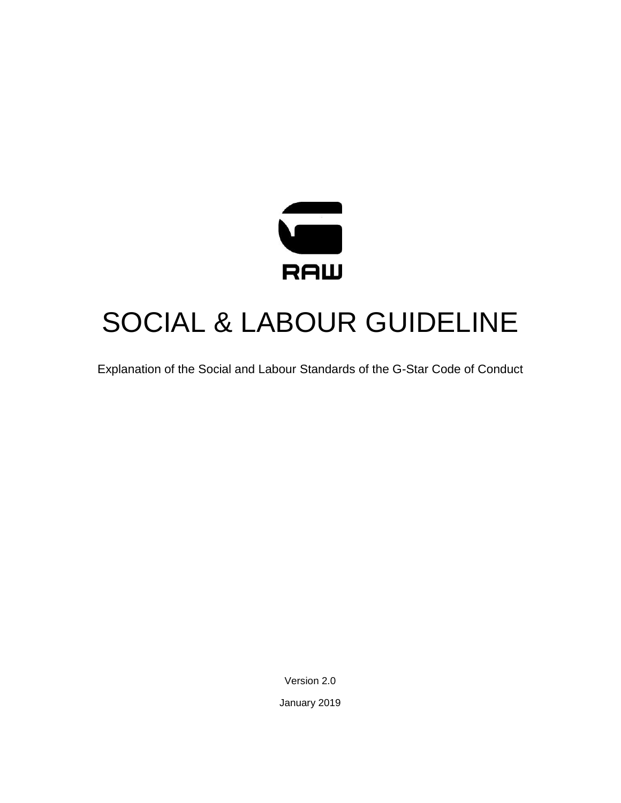

# SOCIAL & LABOUR GUIDELINE

Explanation of the Social and Labour Standards of the G-Star Code of Conduct

Version 2.0

January 2019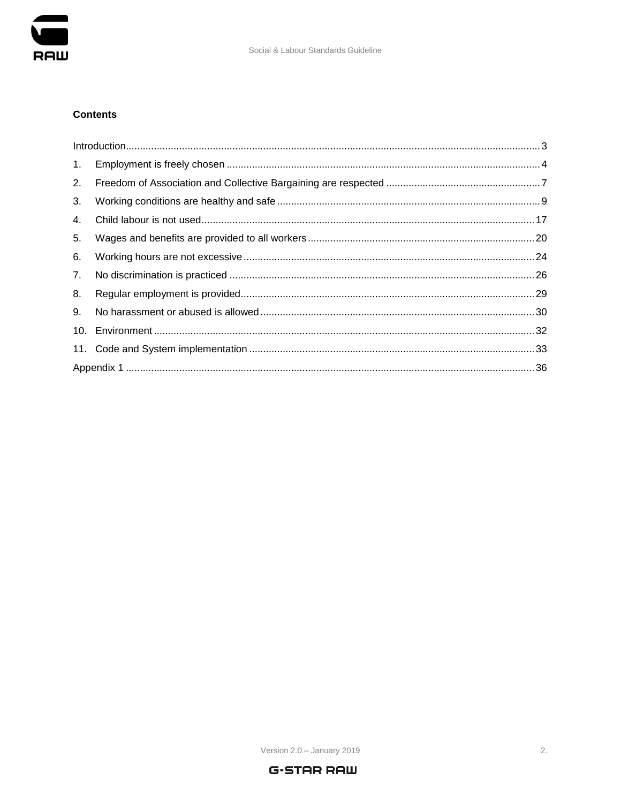

# **Contents**

|    | $\int_0^{\infty} \frac{1}{2} \int_0^{\infty} \frac{1}{2} \int_0^{\infty} \frac{1}{2} \int_0^{\infty} \frac{1}{2} \int_0^{\infty} \frac{1}{2} \int_0^{\infty} \frac{1}{2} \int_0^{\infty} \frac{1}{2} \int_0^{\infty} \frac{1}{2} \int_0^{\infty} \frac{1}{2} \int_0^{\infty} \frac{1}{2} \int_0^{\infty} \frac{1}{2} \int_0^{\infty} \frac{1}{2} \int_0^{\infty} \frac{1}{2} \int_0^{\infty} \frac{$ |  |  |  |  |  |
|----|------------------------------------------------------------------------------------------------------------------------------------------------------------------------------------------------------------------------------------------------------------------------------------------------------------------------------------------------------------------------------------------------------|--|--|--|--|--|
| 1. |                                                                                                                                                                                                                                                                                                                                                                                                      |  |  |  |  |  |
| 2. |                                                                                                                                                                                                                                                                                                                                                                                                      |  |  |  |  |  |
| 3. |                                                                                                                                                                                                                                                                                                                                                                                                      |  |  |  |  |  |
| 4. |                                                                                                                                                                                                                                                                                                                                                                                                      |  |  |  |  |  |
| 5. |                                                                                                                                                                                                                                                                                                                                                                                                      |  |  |  |  |  |
| 6. |                                                                                                                                                                                                                                                                                                                                                                                                      |  |  |  |  |  |
| 7. |                                                                                                                                                                                                                                                                                                                                                                                                      |  |  |  |  |  |
| 8. |                                                                                                                                                                                                                                                                                                                                                                                                      |  |  |  |  |  |
| 9. |                                                                                                                                                                                                                                                                                                                                                                                                      |  |  |  |  |  |
|    |                                                                                                                                                                                                                                                                                                                                                                                                      |  |  |  |  |  |
|    |                                                                                                                                                                                                                                                                                                                                                                                                      |  |  |  |  |  |
|    |                                                                                                                                                                                                                                                                                                                                                                                                      |  |  |  |  |  |

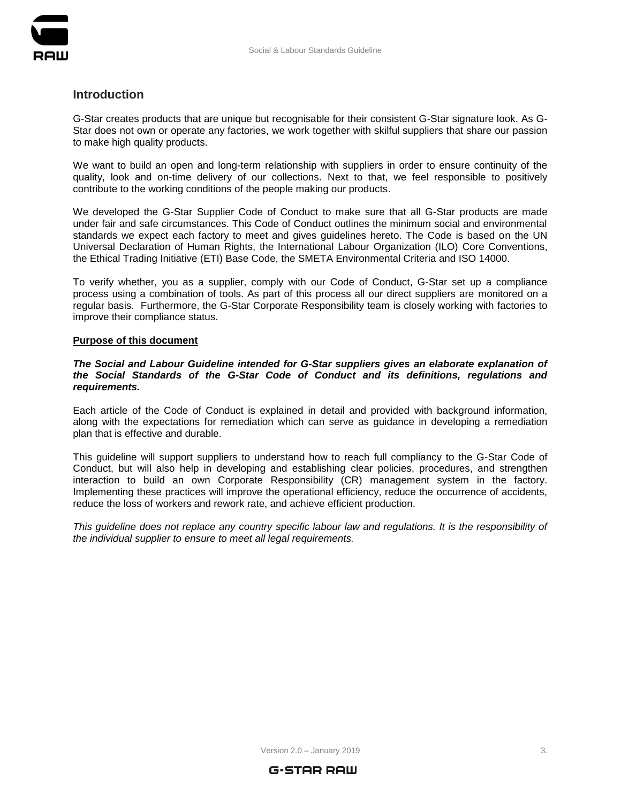

# <span id="page-2-0"></span>**Introduction**

G-Star creates products that are unique but recognisable for their consistent G-Star signature look. As G-Star does not own or operate any factories, we work together with skilful suppliers that share our passion to make high quality products.

We want to build an open and long-term relationship with suppliers in order to ensure continuity of the quality, look and on-time delivery of our collections. Next to that, we feel responsible to positively contribute to the working conditions of the people making our products.

We developed the G-Star Supplier Code of Conduct to make sure that all G-Star products are made under fair and safe circumstances. This Code of Conduct outlines the minimum social and environmental standards we expect each factory to meet and gives guidelines hereto. The Code is based on the UN Universal Declaration of Human Rights, the International Labour Organization (ILO) Core Conventions, the Ethical Trading Initiative (ETI) Base Code, the SMETA Environmental Criteria and ISO 14000.

To verify whether, you as a supplier, comply with our Code of Conduct, G-Star set up a compliance process using a combination of tools. As part of this process all our direct suppliers are monitored on a regular basis. Furthermore, the G-Star Corporate Responsibility team is closely working with factories to improve their compliance status.

#### **Purpose of this document**

*The Social and Labour Guideline intended for G-Star suppliers gives an elaborate explanation of the Social Standards of the G-Star Code of Conduct and its definitions, regulations and requirements.*

Each article of the Code of Conduct is explained in detail and provided with background information, along with the expectations for remediation which can serve as guidance in developing a remediation plan that is effective and durable.

This guideline will support suppliers to understand how to reach full compliancy to the G-Star Code of Conduct, but will also help in developing and establishing clear policies, procedures, and strengthen interaction to build an own Corporate Responsibility (CR) management system in the factory. Implementing these practices will improve the operational efficiency, reduce the occurrence of accidents, reduce the loss of workers and rework rate, and achieve efficient production.

*This guideline does not replace any country specific labour law and regulations. It is the responsibility of the individual supplier to ensure to meet all legal requirements.*

 $Version 2.0 - January 2019$  3.

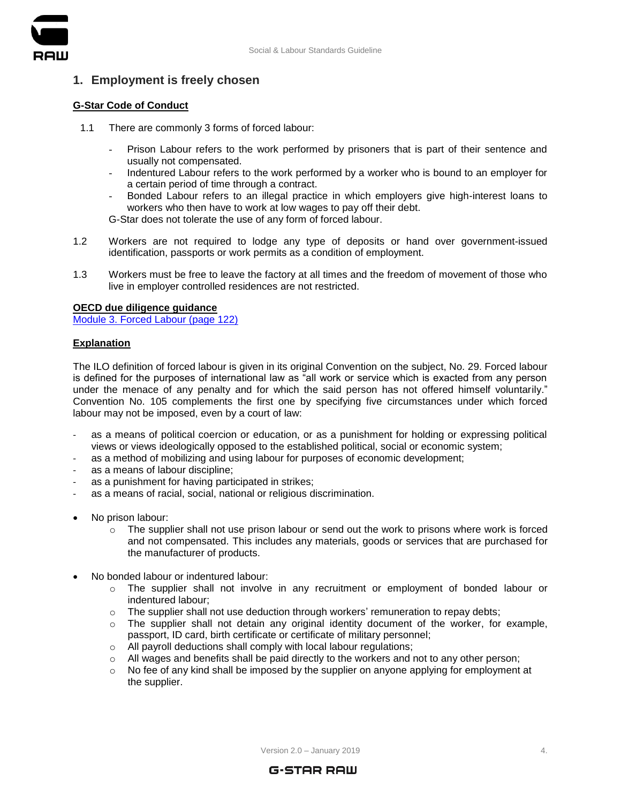

# <span id="page-3-0"></span>**1. Employment is freely chosen**

# **G-Star Code of Conduct**

- 1.1 There are commonly 3 forms of forced labour:
	- Prison Labour refers to the work performed by prisoners that is part of their sentence and usually not compensated.
	- Indentured Labour refers to the work performed by a worker who is bound to an employer for a certain period of time through a contract.
	- Bonded Labour refers to an illegal practice in which employers give high-interest loans to workers who then have to work at low wages to pay off their debt.

G-Star does not tolerate the use of any form of forced labour.

- 1.2 Workers are not required to lodge any type of deposits or hand over government-issued identification, passports or work permits as a condition of employment.
- 1.3 Workers must be free to leave the factory at all times and the freedom of movement of those who live in employer controlled residences are not restricted.

# **OECD due diligence guidance**

[Module 3. Forced Labour \(page 122\)](https://mneguidelines.oecd.org/OECD-Due-Diligence-Guidance-Garment-Footwear.pdf)

# **Explanation**

The ILO definition of forced labour is given in its original Convention on the subject, No. 29. Forced labour is defined for the purposes of international law as "all work or service which is exacted from any person under the menace of any penalty and for which the said person has not offered himself voluntarily." Convention No. 105 complements the first one by specifying five circumstances under which forced labour may not be imposed, even by a court of law:

- as a means of political coercion or education, or as a punishment for holding or expressing political views or views ideologically opposed to the established political, social or economic system;
- as a method of mobilizing and using labour for purposes of economic development;
- as a means of labour discipline:
- as a punishment for having participated in strikes;
- as a means of racial, social, national or religious discrimination.
- No prison labour:
	- $\circ$  The supplier shall not use prison labour or send out the work to prisons where work is forced and not compensated. This includes any materials, goods or services that are purchased for the manufacturer of products.
- No bonded labour or indentured labour:
	- o The supplier shall not involve in any recruitment or employment of bonded labour or indentured labour;
	- o The supplier shall not use deduction through workers' remuneration to repay debts;
	- $\circ$  The supplier shall not detain any original identity document of the worker, for example, passport, ID card, birth certificate or certificate of military personnel;
	- o All payroll deductions shall comply with local labour regulations;
	- $\circ$  All wages and benefits shall be paid directly to the workers and not to any other person;
	- $\circ$  No fee of any kind shall be imposed by the supplier on anyone applying for employment at the supplier.

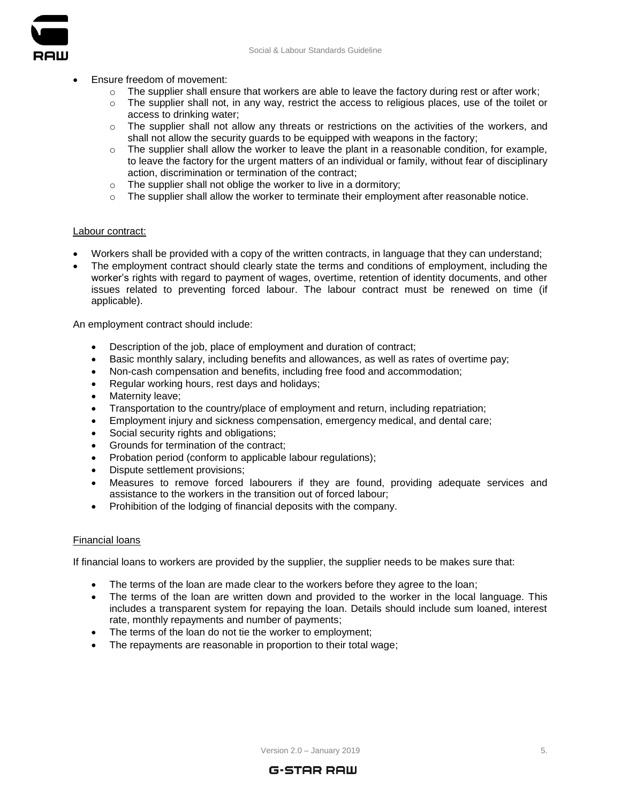

- Ensure freedom of movement:
	- $\circ$  The supplier shall ensure that workers are able to leave the factory during rest or after work;
	- $\circ$  The supplier shall not, in any way, restrict the access to religious places, use of the toilet or access to drinking water;
	- $\circ$  The supplier shall not allow any threats or restrictions on the activities of the workers, and shall not allow the security guards to be equipped with weapons in the factory;
	- $\circ$  The supplier shall allow the worker to leave the plant in a reasonable condition, for example, to leave the factory for the urgent matters of an individual or family, without fear of disciplinary action, discrimination or termination of the contract;
	- $\circ$  The supplier shall not oblige the worker to live in a dormitory;
	- $\circ$  The supplier shall allow the worker to terminate their employment after reasonable notice.

# Labour contract:

- Workers shall be provided with a copy of the written contracts, in language that they can understand;
- The employment contract should clearly state the terms and conditions of employment, including the worker's rights with regard to payment of wages, overtime, retention of identity documents, and other issues related to preventing forced labour. The labour contract must be renewed on time (if applicable).

An employment contract should include:

- Description of the job, place of employment and duration of contract;
- Basic monthly salary, including benefits and allowances, as well as rates of overtime pay;
- Non-cash compensation and benefits, including free food and accommodation;
- Regular working hours, rest days and holidays;
- Maternity leave;
- Transportation to the country/place of employment and return, including repatriation;
- Employment injury and sickness compensation, emergency medical, and dental care;
- Social security rights and obligations;
- Grounds for termination of the contract;
- Probation period (conform to applicable labour regulations);
- Dispute settlement provisions;
- Measures to remove forced labourers if they are found, providing adequate services and assistance to the workers in the transition out of forced labour;
- Prohibition of the lodging of financial deposits with the company.

#### Financial loans

If financial loans to workers are provided by the supplier, the supplier needs to be makes sure that:

- The terms of the loan are made clear to the workers before they agree to the loan;
- The terms of the loan are written down and provided to the worker in the local language. This includes a transparent system for repaying the loan. Details should include sum loaned, interest rate, monthly repayments and number of payments;
- The terms of the loan do not tie the worker to employment;
- The repayments are reasonable in proportion to their total wage;

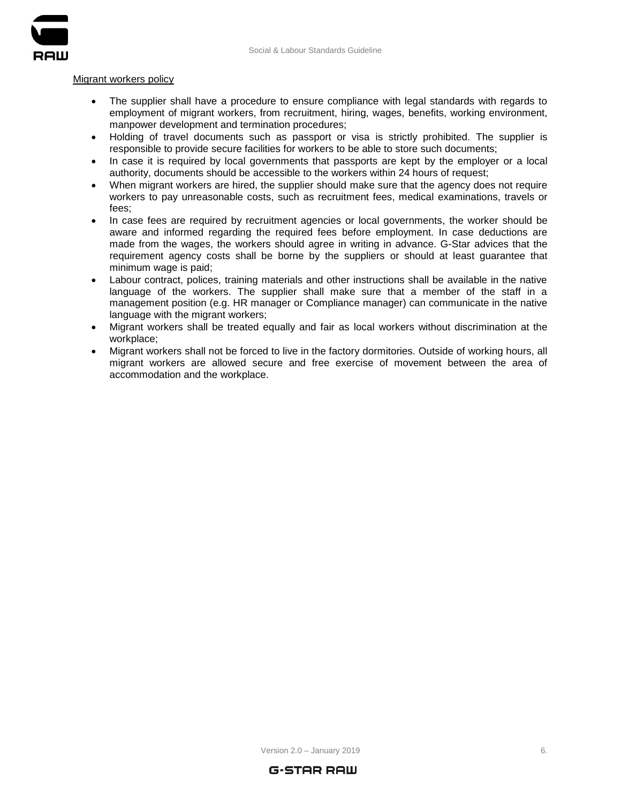

#### Migrant workers policy

- The supplier shall have a procedure to ensure compliance with legal standards with regards to employment of migrant workers, from recruitment, hiring, wages, benefits, working environment, manpower development and termination procedures;
- Holding of travel documents such as passport or visa is strictly prohibited. The supplier is responsible to provide secure facilities for workers to be able to store such documents;
- In case it is required by local governments that passports are kept by the employer or a local authority, documents should be accessible to the workers within 24 hours of request;
- When migrant workers are hired, the supplier should make sure that the agency does not require workers to pay unreasonable costs, such as recruitment fees, medical examinations, travels or fees;
- In case fees are required by recruitment agencies or local governments, the worker should be aware and informed regarding the required fees before employment. In case deductions are made from the wages, the workers should agree in writing in advance. G-Star advices that the requirement agency costs shall be borne by the suppliers or should at least guarantee that minimum wage is paid;
- Labour contract, polices, training materials and other instructions shall be available in the native language of the workers. The supplier shall make sure that a member of the staff in a management position (e.g. HR manager or Compliance manager) can communicate in the native language with the migrant workers;
- Migrant workers shall be treated equally and fair as local workers without discrimination at the workplace;
- Migrant workers shall not be forced to live in the factory dormitories. Outside of working hours, all migrant workers are allowed secure and free exercise of movement between the area of accommodation and the workplace.



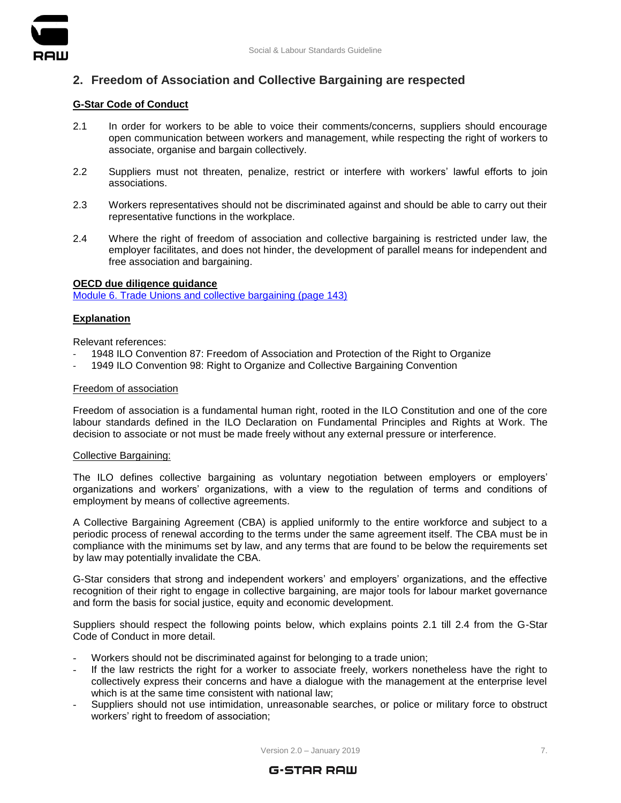

# <span id="page-6-0"></span>**2. Freedom of Association and Collective Bargaining are respected**

# **G-Star Code of Conduct**

- 2.1 In order for workers to be able to voice their comments/concerns, suppliers should encourage open communication between workers and management, while respecting the right of workers to associate, organise and bargain collectively.
- 2.2 Suppliers must not threaten, penalize, restrict or interfere with workers' lawful efforts to join associations.
- 2.3 Workers representatives should not be discriminated against and should be able to carry out their representative functions in the workplace.
- 2.4 Where the right of freedom of association and collective bargaining is restricted under law, the employer facilitates, and does not hinder, the development of parallel means for independent and free association and bargaining.

#### **OECD due diligence guidance**

[Module 6. Trade Unions and collective bargaining \(page 143\)](https://mneguidelines.oecd.org/OECD-Due-Diligence-Guidance-Garment-Footwear.pdf)

# **Explanation**

Relevant references:

- 1948 ILO Convention 87: Freedom of Association and Protection of the Right to Organize
- 1949 ILO Convention 98: Right to Organize and Collective Bargaining Convention

#### Freedom of association

Freedom of association is a fundamental human right, rooted in the ILO Constitution and one of the core labour standards defined in the ILO Declaration on Fundamental Principles and Rights at Work. The decision to associate or not must be made freely without any external pressure or interference.

#### Collective Bargaining:

The ILO defines collective bargaining as voluntary negotiation between employers or employers' organizations and workers' organizations, with a view to the regulation of terms and conditions of employment by means of collective agreements.

A Collective Bargaining Agreement (CBA) is applied uniformly to the entire workforce and subject to a periodic process of renewal according to the terms under the same agreement itself. The CBA must be in compliance with the minimums set by law, and any terms that are found to be below the requirements set by law may potentially invalidate the CBA.

G-Star considers that strong and independent workers' and employers' organizations, and the effective recognition of their right to engage in collective bargaining, are major tools for labour market governance and form the basis for social justice, equity and economic development.

Suppliers should respect the following points below, which explains points 2.1 till 2.4 from the G-Star Code of Conduct in more detail.

- Workers should not be discriminated against for belonging to a trade union;
- If the law restricts the right for a worker to associate freely, workers nonetheless have the right to collectively express their concerns and have a dialogue with the management at the enterprise level which is at the same time consistent with national law;
- Suppliers should not use intimidation, unreasonable searches, or police or military force to obstruct workers' right to freedom of association;

Version 2.0 – January 2019 **7.** The same of the same of the same of the same of the same of the same of the same of the same of the same of the same of the same of the same of the same of the same of the same of the same o

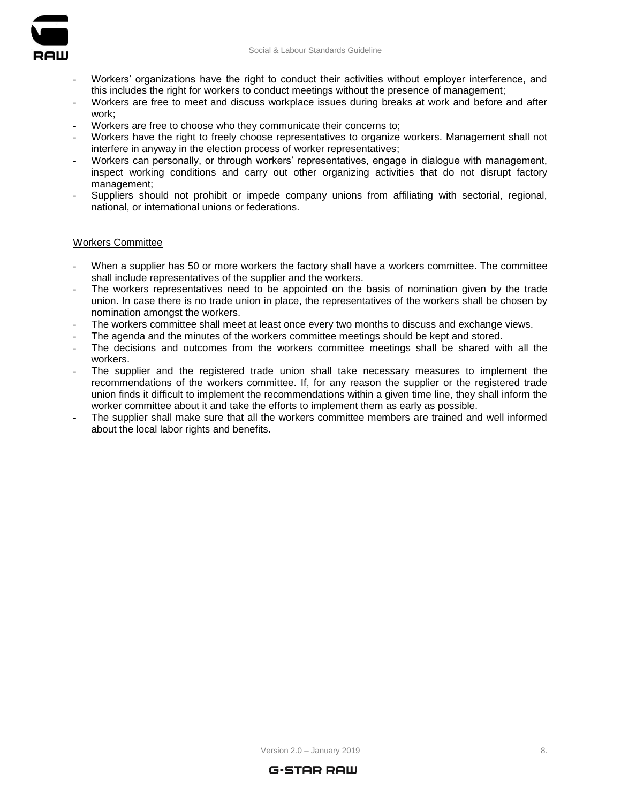

- Workers' organizations have the right to conduct their activities without employer interference, and this includes the right for workers to conduct meetings without the presence of management;
- Workers are free to meet and discuss workplace issues during breaks at work and before and after work;
- Workers are free to choose who they communicate their concerns to:
- Workers have the right to freely choose representatives to organize workers. Management shall not interfere in anyway in the election process of worker representatives;
- Workers can personally, or through workers' representatives, engage in dialogue with management, inspect working conditions and carry out other organizing activities that do not disrupt factory management;
- Suppliers should not prohibit or impede company unions from affiliating with sectorial, regional, national, or international unions or federations.

#### Workers Committee

- When a supplier has 50 or more workers the factory shall have a workers committee. The committee shall include representatives of the supplier and the workers.
- The workers representatives need to be appointed on the basis of nomination given by the trade union. In case there is no trade union in place, the representatives of the workers shall be chosen by nomination amongst the workers.
- The workers committee shall meet at least once every two months to discuss and exchange views.
- The agenda and the minutes of the workers committee meetings should be kept and stored.
- The decisions and outcomes from the workers committee meetings shall be shared with all the workers.
- The supplier and the registered trade union shall take necessary measures to implement the recommendations of the workers committee. If, for any reason the supplier or the registered trade union finds it difficult to implement the recommendations within a given time line, they shall inform the worker committee about it and take the efforts to implement them as early as possible.
- The supplier shall make sure that all the workers committee members are trained and well informed about the local labor rights and benefits.



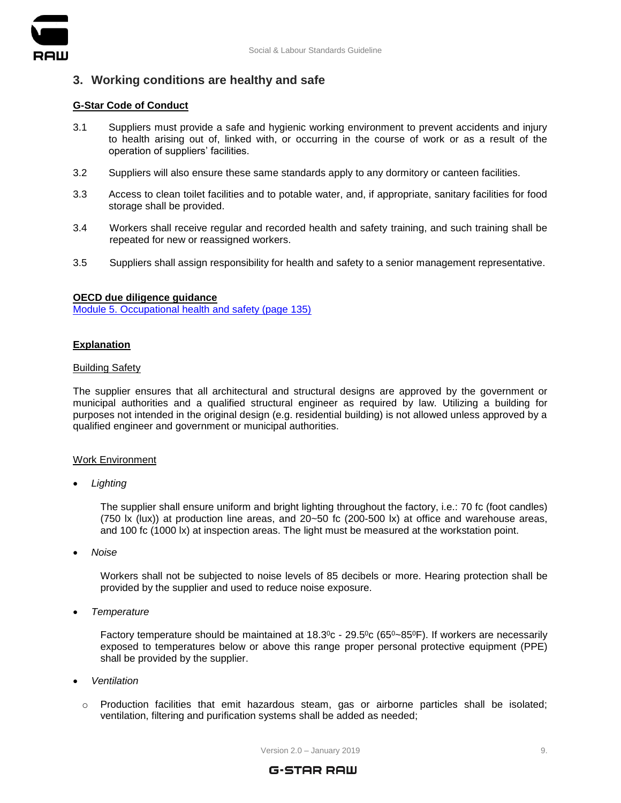

# <span id="page-8-0"></span>**3. Working conditions are healthy and safe**

# **G-Star Code of Conduct**

- 3.1 Suppliers must provide a safe and hygienic working environment to prevent accidents and injury to health arising out of, linked with, or occurring in the course of work or as a result of the operation of suppliers' facilities.
- 3.2 Suppliers will also ensure these same standards apply to any dormitory or canteen facilities.
- 3.3 Access to clean toilet facilities and to potable water, and, if appropriate, sanitary facilities for food storage shall be provided.
- 3.4 Workers shall receive regular and recorded health and safety training, and such training shall be repeated for new or reassigned workers.
- 3.5 Suppliers shall assign responsibility for health and safety to a senior management representative.

# **OECD due diligence guidance**

[Module 5. Occupational health and safety \(page 135\)](https://mneguidelines.oecd.org/OECD-Due-Diligence-Guidance-Garment-Footwear.pdf)

# **Explanation**

# Building Safety

The supplier ensures that all architectural and structural designs are approved by the government or municipal authorities and a qualified structural engineer as required by law. Utilizing a building for purposes not intended in the original design (e.g. residential building) is not allowed unless approved by a qualified engineer and government or municipal authorities.

# Work Environment

*Lighting*

The supplier shall ensure uniform and bright lighting throughout the factory, i.e.: 70 fc (foot candles) (750 lx (lux)) at production line areas, and 20~50 fc (200-500 lx) at office and warehouse areas, and 100 fc (1000 lx) at inspection areas. The light must be measured at the workstation point.

*Noise*

Workers shall not be subjected to noise levels of 85 decibels or more. Hearing protection shall be provided by the supplier and used to reduce noise exposure.

*Temperature*

Factory temperature should be maintained at 18.3°c - 29.5°c (65°~85°F). If workers are necessarily exposed to temperatures below or above this range proper personal protective equipment (PPE) shall be provided by the supplier.

- *Ventilation*
	- o Production facilities that emit hazardous steam, gas or airborne particles shall be isolated; ventilation, filtering and purification systems shall be added as needed;

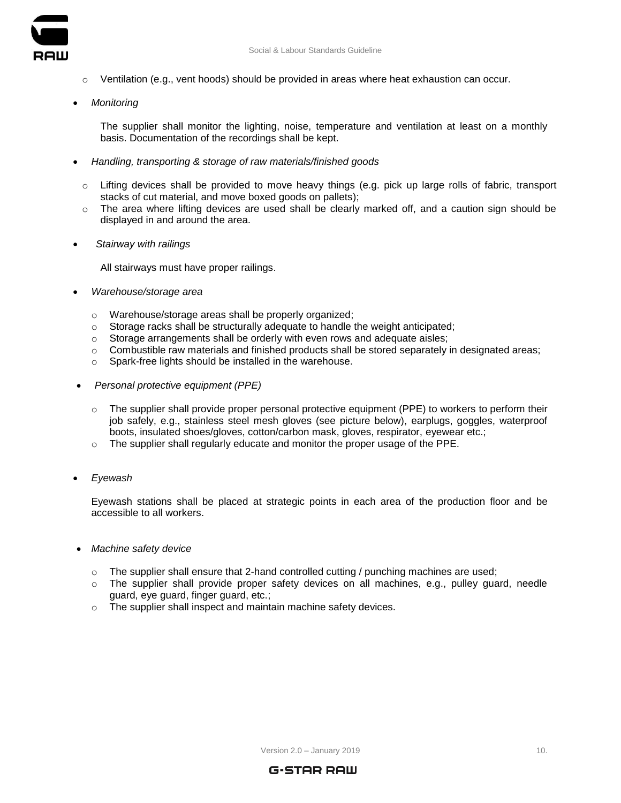



- o Ventilation (e.g., vent hoods) should be provided in areas where heat exhaustion can occur.
- *Monitoring*

The supplier shall monitor the lighting, noise, temperature and ventilation at least on a monthly basis. Documentation of the recordings shall be kept.

- *Handling, transporting & storage of raw materials/finished goods*
	- $\circ$  Lifting devices shall be provided to move heavy things (e.g. pick up large rolls of fabric, transport stacks of cut material, and move boxed goods on pallets);
	- o The area where lifting devices are used shall be clearly marked off, and a caution sign should be displayed in and around the area.
- *Stairway with railings*

All stairways must have proper railings.

- *Warehouse/storage area*
	- o Warehouse/storage areas shall be properly organized;
	- o Storage racks shall be structurally adequate to handle the weight anticipated;
	- o Storage arrangements shall be orderly with even rows and adequate aisles;
	- $\circ$  Combustible raw materials and finished products shall be stored separately in designated areas;
	- o Spark-free lights should be installed in the warehouse.
- *Personal protective equipment (PPE)*
	- $\circ$  The supplier shall provide proper personal protective equipment (PPE) to workers to perform their job safely, e.g., stainless steel mesh gloves (see picture below), earplugs, goggles, waterproof boots, insulated shoes/gloves, cotton/carbon mask, gloves, respirator, eyewear etc.;
	- $\circ$  The supplier shall regularly educate and monitor the proper usage of the PPE.
- *Eyewash*

Eyewash stations shall be placed at strategic points in each area of the production floor and be accessible to all workers.

- *Machine safety device*
	- $\circ$  The supplier shall ensure that 2-hand controlled cutting / punching machines are used;
	- $\circ$  The supplier shall provide proper safety devices on all machines, e.g., pulley guard, needle guard, eye guard, finger guard, etc.;
	- o The supplier shall inspect and maintain machine safety devices.

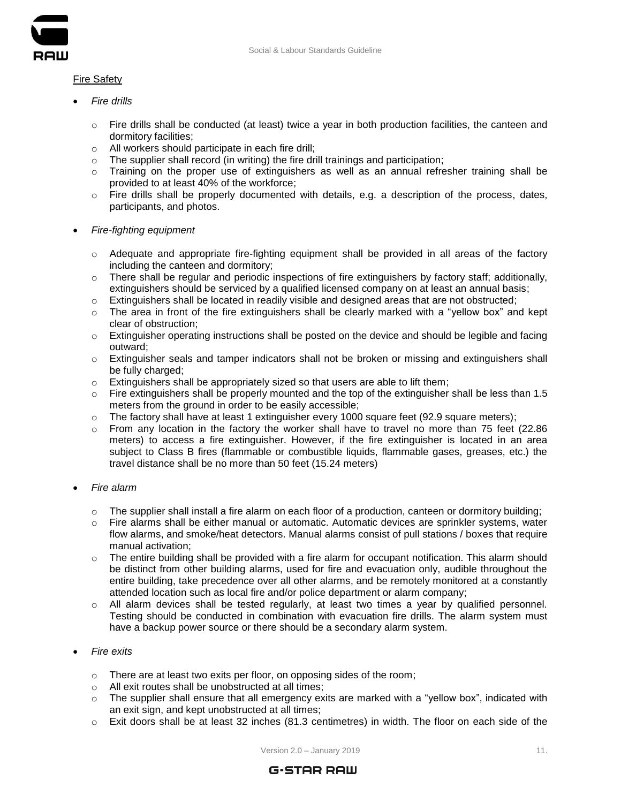

# Fire Safety

- *Fire drills*
	- $\circ$  Fire drills shall be conducted (at least) twice a year in both production facilities, the canteen and dormitory facilities;
	- o All workers should participate in each fire drill;
	- o The supplier shall record (in writing) the fire drill trainings and participation;
	- $\circ$  Training on the proper use of extinguishers as well as an annual refresher training shall be provided to at least 40% of the workforce;
	- $\circ$  Fire drills shall be properly documented with details, e.g. a description of the process, dates, participants, and photos.
- *Fire-fighting equipment*
	- $\circ$  Adequate and appropriate fire-fighting equipment shall be provided in all areas of the factory including the canteen and dormitory;
	- $\circ$  There shall be regular and periodic inspections of fire extinguishers by factory staff; additionally, extinguishers should be serviced by a qualified licensed company on at least an annual basis;
	- $\circ$  Extinguishers shall be located in readily visible and designed areas that are not obstructed;
	- o The area in front of the fire extinguishers shall be clearly marked with a "yellow box" and kept clear of obstruction;
	- $\circ$  Extinguisher operating instructions shall be posted on the device and should be legible and facing outward;
	- $\circ$  Extinguisher seals and tamper indicators shall not be broken or missing and extinguishers shall be fully charged;
	- $\circ$  Extinguishers shall be appropriately sized so that users are able to lift them;
	- $\circ$  Fire extinguishers shall be properly mounted and the top of the extinguisher shall be less than 1.5 meters from the ground in order to be easily accessible;
	- $\circ$  The factory shall have at least 1 extinguisher every 1000 square feet (92.9 square meters);
	- $\circ$  From any location in the factory the worker shall have to travel no more than 75 feet (22.86) meters) to access a fire extinguisher. However, if the fire extinguisher is located in an area subject to Class B fires (flammable or combustible liquids, flammable gases, greases, etc.) the travel distance shall be no more than 50 feet (15.24 meters)
- *Fire alarm*
	- $\circ$  The supplier shall install a fire alarm on each floor of a production, canteen or dormitory building;
	- $\circ$  Fire alarms shall be either manual or automatic. Automatic devices are sprinkler systems, water flow alarms, and smoke/heat detectors. Manual alarms consist of pull stations / boxes that require manual activation;
	- $\circ$  The entire building shall be provided with a fire alarm for occupant notification. This alarm should be distinct from other building alarms, used for fire and evacuation only, audible throughout the entire building, take precedence over all other alarms, and be remotely monitored at a constantly attended location such as local fire and/or police department or alarm company;
	- $\circ$  All alarm devices shall be tested regularly, at least two times a year by qualified personnel. Testing should be conducted in combination with evacuation fire drills. The alarm system must have a backup power source or there should be a secondary alarm system.
- *Fire exits*
	- o There are at least two exits per floor, on opposing sides of the room;
	- o All exit routes shall be unobstructed at all times;
	- $\circ$  The supplier shall ensure that all emergency exits are marked with a "yellow box", indicated with an exit sign, and kept unobstructed at all times;
	- $\circ$  Exit doors shall be at least 32 inches (81.3 centimetres) in width. The floor on each side of the

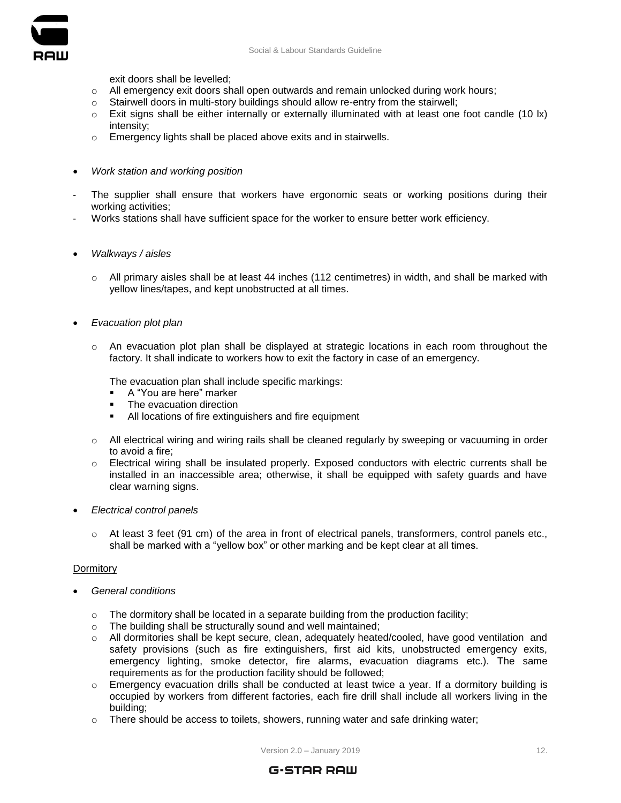

exit doors shall be levelled;

- $\circ$  All emergency exit doors shall open outwards and remain unlocked during work hours;
- o Stairwell doors in multi-story buildings should allow re-entry from the stairwell;
- $\circ$  Exit signs shall be either internally or externally illuminated with at least one foot candle (10 lx) intensity;
- o Emergency lights shall be placed above exits and in stairwells.
- *Work station and working position*
- The supplier shall ensure that workers have ergonomic seats or working positions during their working activities;
- Works stations shall have sufficient space for the worker to ensure better work efficiency.
- *Walkways / aisles*
	- $\circ$  All primary aisles shall be at least 44 inches (112 centimetres) in width, and shall be marked with yellow lines/tapes, and kept unobstructed at all times.
- *Evacuation plot plan*
	- o An evacuation plot plan shall be displayed at strategic locations in each room throughout the factory. It shall indicate to workers how to exit the factory in case of an emergency.

The evacuation plan shall include specific markings:

- A "You are here" marker
- The evacuation direction
- All locations of fire extinguishers and fire equipment
- o All electrical wiring and wiring rails shall be cleaned regularly by sweeping or vacuuming in order to avoid a fire;
- o Electrical wiring shall be insulated properly. Exposed conductors with electric currents shall be installed in an inaccessible area; otherwise, it shall be equipped with safety guards and have clear warning signs.
- *Electrical control panels*
	- $\circ$  At least 3 feet (91 cm) of the area in front of electrical panels, transformers, control panels etc., shall be marked with a "yellow box" or other marking and be kept clear at all times.

#### **Dormitory**

- *General conditions*
	- $\circ$  The dormitory shall be located in a separate building from the production facility;
	- o The building shall be structurally sound and well maintained;
	- $\circ$  All dormitories shall be kept secure, clean, adequately heated/cooled, have good ventilation and safety provisions (such as fire extinguishers, first aid kits, unobstructed emergency exits, emergency lighting, smoke detector, fire alarms, evacuation diagrams etc.). The same requirements as for the production facility should be followed;
	- $\circ$  Emergency evacuation drills shall be conducted at least twice a year. If a dormitory building is occupied by workers from different factories, each fire drill shall include all workers living in the building;
	- $\circ$  There should be access to toilets, showers, running water and safe drinking water;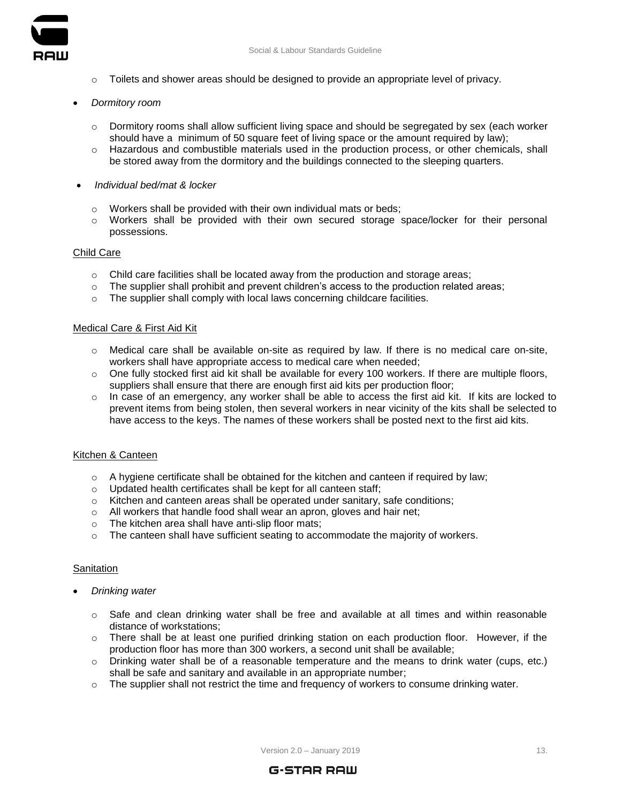

- $\circ$  Toilets and shower areas should be designed to provide an appropriate level of privacy.
- *Dormitory room*
	- $\circ$  Dormitory rooms shall allow sufficient living space and should be segregated by sex (each worker should have a minimum of 50 square feet of living space or the amount required by law);
	- o Hazardous and combustible materials used in the production process, or other chemicals, shall be stored away from the dormitory and the buildings connected to the sleeping quarters.
- *Individual bed/mat & locker*
	- o Workers shall be provided with their own individual mats or beds;
	- o Workers shall be provided with their own secured storage space/locker for their personal possessions.

# Child Care

- $\circ$  Child care facilities shall be located away from the production and storage areas;
- $\circ$  The supplier shall prohibit and prevent children's access to the production related areas;
- o The supplier shall comply with local laws concerning childcare facilities.

# Medical Care & First Aid Kit

- $\circ$  Medical care shall be available on-site as required by law. If there is no medical care on-site, workers shall have appropriate access to medical care when needed;
- $\circ$  One fully stocked first aid kit shall be available for every 100 workers. If there are multiple floors, suppliers shall ensure that there are enough first aid kits per production floor;
- $\circ$  In case of an emergency, any worker shall be able to access the first aid kit. If kits are locked to prevent items from being stolen, then several workers in near vicinity of the kits shall be selected to have access to the keys. The names of these workers shall be posted next to the first aid kits.

# Kitchen & Canteen

- $\circ$  A hygiene certificate shall be obtained for the kitchen and canteen if required by law;
- o Updated health certificates shall be kept for all canteen staff;
- $\circ$  Kitchen and canteen areas shall be operated under sanitary, safe conditions;
- o All workers that handle food shall wear an apron, gloves and hair net;
- o The kitchen area shall have anti-slip floor mats;
- $\circ$  The canteen shall have sufficient seating to accommodate the majority of workers.

# **Sanitation**

- *Drinking water*
	- $\circ$  Safe and clean drinking water shall be free and available at all times and within reasonable distance of workstations;
	- $\circ$  There shall be at least one purified drinking station on each production floor. However, if the production floor has more than 300 workers, a second unit shall be available;
	- $\circ$  Drinking water shall be of a reasonable temperature and the means to drink water (cups, etc.) shall be safe and sanitary and available in an appropriate number;
	- $\circ$  The supplier shall not restrict the time and frequency of workers to consume drinking water.

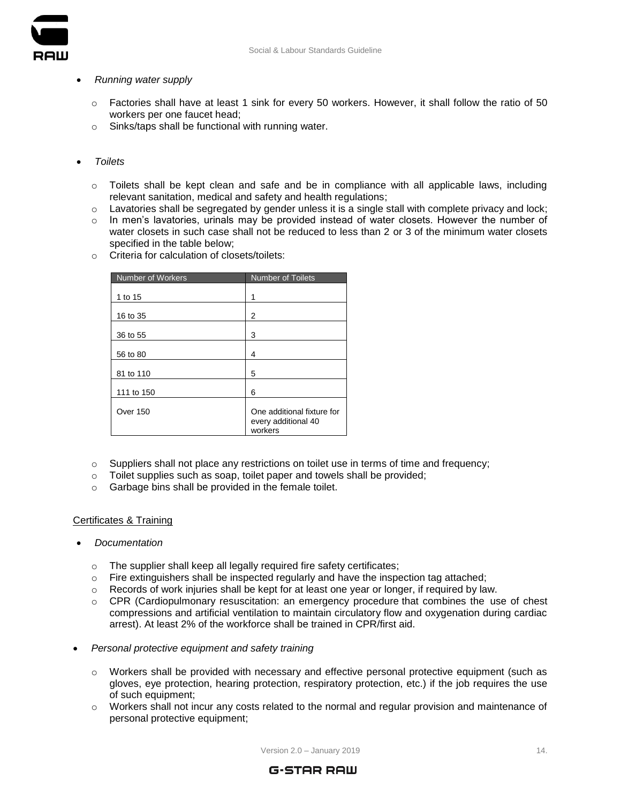

#### *Running water supply*

- $\circ$  Factories shall have at least 1 sink for every 50 workers. However, it shall follow the ratio of 50 workers per one faucet head;
- o Sinks/taps shall be functional with running water.

# *Toilets*

- $\circ$  Toilets shall be kept clean and safe and be in compliance with all applicable laws, including relevant sanitation, medical and safety and health regulations;
- $\circ$  Lavatories shall be segregated by gender unless it is a single stall with complete privacy and lock;
- $\circ$  In men's lavatories, urinals may be provided instead of water closets. However the number of water closets in such case shall not be reduced to less than 2 or 3 of the minimum water closets specified in the table below;
- o Criteria for calculation of closets/toilets:

| <b>Number of Workers</b> | <b>Number of Toilets</b>                                     |
|--------------------------|--------------------------------------------------------------|
| 1 to 15                  | 1                                                            |
| 16 to 35                 | 2                                                            |
| 36 to 55                 | 3                                                            |
| 56 to 80                 | 4                                                            |
| 81 to 110                | 5                                                            |
| 111 to 150               | 6                                                            |
| <b>Over 150</b>          | One additional fixture for<br>every additional 40<br>workers |

- o Suppliers shall not place any restrictions on toilet use in terms of time and frequency;
- o Toilet supplies such as soap, toilet paper and towels shall be provided;
- o Garbage bins shall be provided in the female toilet.

# Certificates & Training

# *Documentation*

- o The supplier shall keep all legally required fire safety certificates;
- $\circ$  Fire extinguishers shall be inspected regularly and have the inspection tag attached;
- $\circ$  Records of work injuries shall be kept for at least one year or longer, if required by law.
- o CPR (Cardiopulmonary resuscitation: [an emergency](https://en.wikipedia.org/wiki/Emergency_procedure) procedure that combines the use of chest compressions and artificial ventilation to maintain circulatory flow and oxygenation during cardiac arrest). At least 2% of the workforce shall be trained in CPR/first aid.
- *Personal protective equipment and safety training*
	- o Workers shall be provided with necessary and effective personal protective equipment (such as gloves, eye protection, hearing protection, respiratory protection, etc.) if the job requires the use of such equipment;
	- $\circ$  Workers shall not incur any costs related to the normal and regular provision and maintenance of personal protective equipment;

 $Version 2.0 - January 2019$  14.

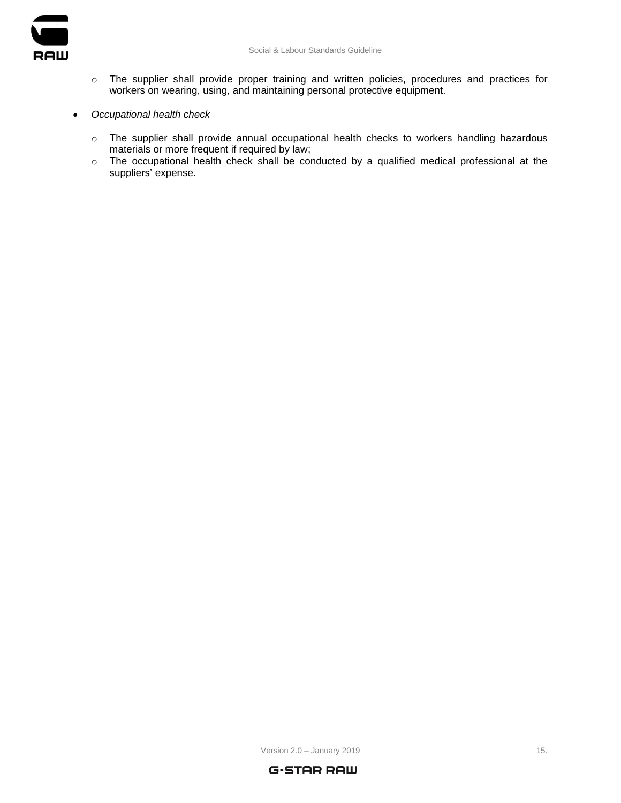

- o The supplier shall provide proper training and written policies, procedures and practices for workers on wearing, using, and maintaining personal protective equipment.
- *Occupational health check*
	- o The supplier shall provide annual occupational health checks to workers handling hazardous materials or more frequent if required by law;
	- o The occupational health check shall be conducted by a qualified medical professional at the suppliers' expense.

 $Version 2.0 - January 2019$  15.

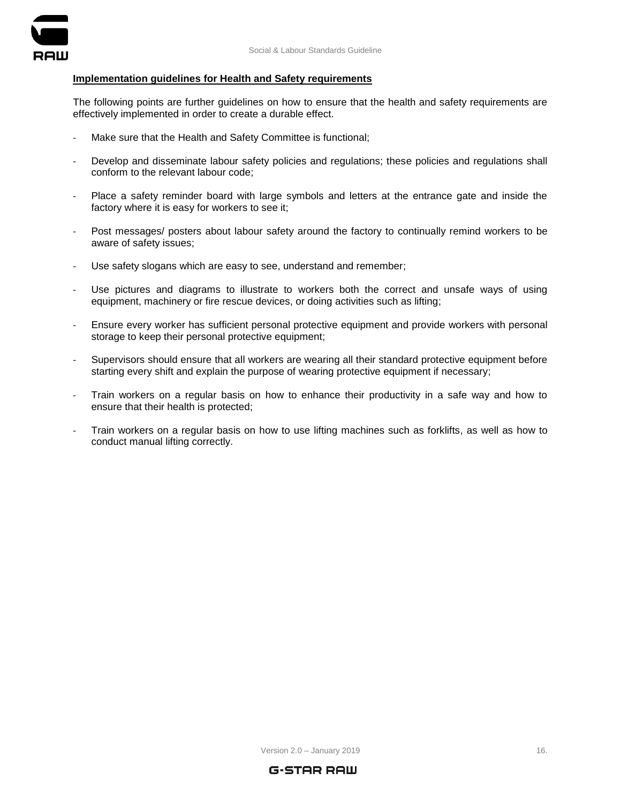

## **Implementation guidelines for Health and Safety requirements**

The following points are further guidelines on how to ensure that the health and safety requirements are effectively implemented in order to create a durable effect.

- Make sure that the Health and Safety Committee is functional;
- Develop and disseminate labour safety policies and regulations; these policies and regulations shall conform to the relevant labour code;
- Place a safety reminder board with large symbols and letters at the entrance gate and inside the factory where it is easy for workers to see it;
- Post messages/ posters about labour safety around the factory to continually remind workers to be aware of safety issues;
- Use safety slogans which are easy to see, understand and remember;
- Use pictures and diagrams to illustrate to workers both the correct and unsafe ways of using equipment, machinery or fire rescue devices, or doing activities such as lifting;
- Ensure every worker has sufficient personal protective equipment and provide workers with personal storage to keep their personal protective equipment;
- Supervisors should ensure that all workers are wearing all their standard protective equipment before starting every shift and explain the purpose of wearing protective equipment if necessary;
- Train workers on a regular basis on how to enhance their productivity in a safe way and how to ensure that their health is protected;
- Train workers on a regular basis on how to use lifting machines such as forklifts, as well as how to conduct manual lifting correctly.



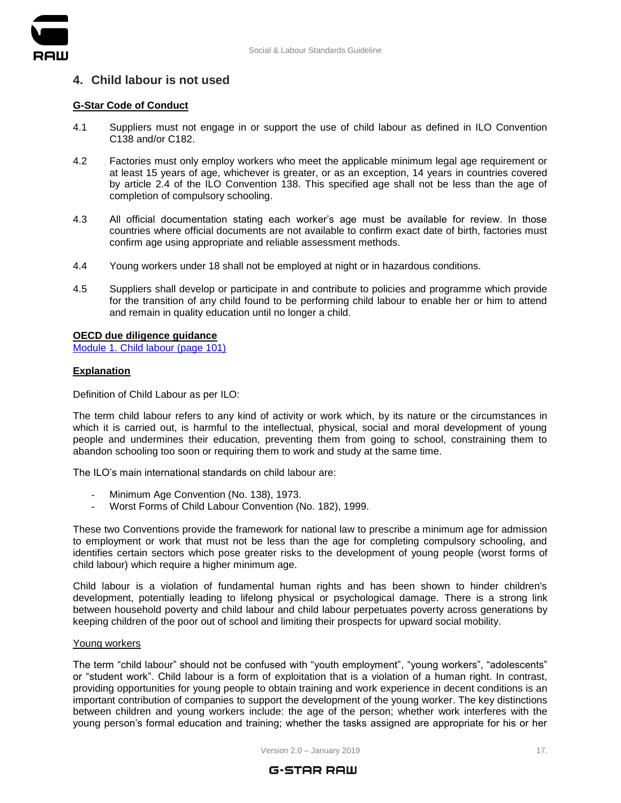

# <span id="page-16-0"></span>**4. Child labour is not used**

# **G-Star Code of Conduct**

- 4.1 Suppliers must not engage in or support the use of child labour as defined in ILO Convention C138 and/or C182.
- 4.2 Factories must only employ workers who meet the applicable minimum legal age requirement or at least 15 years of age, whichever is greater, or as an exception, 14 years in countries covered by article 2.4 of the ILO Convention 138. This specified age shall not be less than the age of completion of compulsory schooling.
- 4.3 All official documentation stating each worker's age must be available for review. In those countries where official documents are not available to confirm exact date of birth, factories must confirm age using appropriate and reliable assessment methods.
- 4.4 Young workers under 18 shall not be employed at night or in hazardous conditions.
- 4.5 Suppliers shall develop or participate in and contribute to policies and programme which provide for the transition of any child found to be performing child labour to enable her or him to attend and remain in quality education until no longer a child.

**OECD due diligence guidance**  [Module 1. Child labour \(page 101\)](https://mneguidelines.oecd.org/OECD-Due-Diligence-Guidance-Garment-Footwear.pdf)

# **Explanation**

Definition of Child Labour as per ILO:

The term child labour refers to any kind of activity or work which, by its nature or the circumstances in which it is carried out, is harmful to the intellectual, physical, social and moral development of young people and undermines their education, preventing them from going to school, constraining them to abandon schooling too soon or requiring them to work and study at the same time.

The ILO's main international standards on child labour are:

- Minimum Age Convention (No. 138), 1973.
- Worst Forms of Child Labour Convention (No. 182), 1999.

These two Conventions provide the framework for national law to prescribe a minimum age for admission to employment or work that must not be less than the age for completing compulsory schooling, and identifies certain sectors which pose greater risks to the development of young people (worst forms of child labour) which require a higher minimum age.

Child labour is a violation of fundamental human rights and has been shown to hinder children's development, potentially leading to lifelong physical or psychological damage. There is a strong link between household poverty and child labour and child labour perpetuates poverty across generations by keeping children of the poor out of school and limiting their prospects for upward social mobility.

#### Young workers

The term "child labour" should not be confused with "youth employment", "young workers", "adolescents" or "student work". Child labour is a form of exploitation that is a violation of a human right. In contrast, providing opportunities for young people to obtain training and work experience in decent conditions is an important contribution of companies to support the development of the young worker. The key distinctions between children and young workers include: the age of the person; whether work interferes with the young person's formal education and training; whether the tasks assigned are appropriate for his or her

Version  $2.0 -$  January 2019 17.

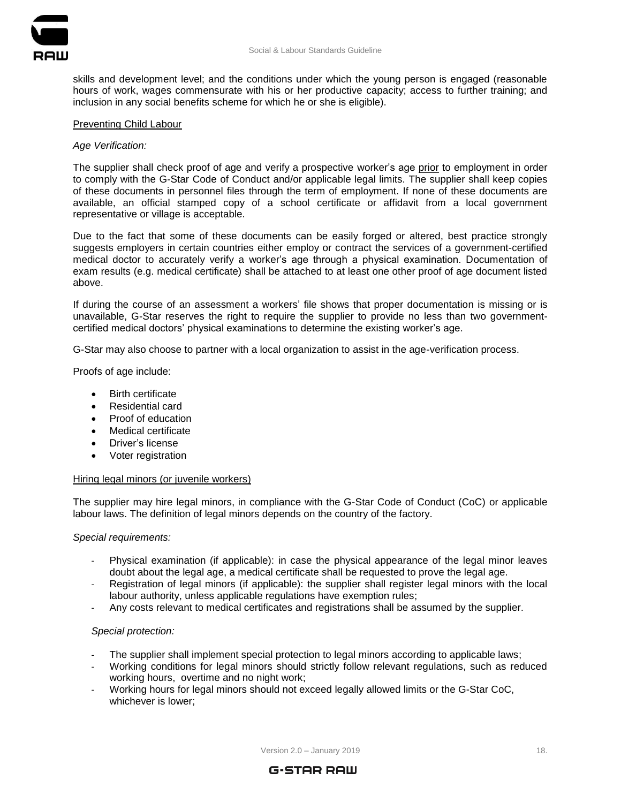



skills and development level; and the conditions under which the young person is engaged (reasonable hours of work, wages commensurate with his or her productive capacity; access to further training; and inclusion in any social benefits scheme for which he or she is eligible).

# Preventing Child Labour

# *Age Verification:*

The supplier shall check proof of age and verify a prospective worker's age prior to employment in order to comply with the G-Star Code of Conduct and/or applicable legal limits. The supplier shall keep copies of these documents in personnel files through the term of employment. If none of these documents are available, an official stamped copy of a school certificate or affidavit from a local government representative or village is acceptable.

Due to the fact that some of these documents can be easily forged or altered, best practice strongly suggests employers in certain countries either employ or contract the services of a government-certified medical doctor to accurately verify a worker's age through a physical examination. Documentation of exam results (e.g. medical certificate) shall be attached to at least one other proof of age document listed above.

If during the course of an assessment a workers' file shows that proper documentation is missing or is unavailable, G-Star reserves the right to require the supplier to provide no less than two governmentcertified medical doctors' physical examinations to determine the existing worker's age.

G-Star may also choose to partner with a local organization to assist in the age-verification process.

Proofs of age include:

- Birth certificate
- Residential card
- Proof of education
- Medical certificate
- Driver's license
- Voter registration

# Hiring legal minors (or juvenile workers)

The supplier may hire legal minors, in compliance with the G-Star Code of Conduct (CoC) or applicable labour laws. The definition of legal minors depends on the country of the factory.

# *Special requirements:*

- Physical examination (if applicable): in case the physical appearance of the legal minor leaves doubt about the legal age, a medical certificate shall be requested to prove the legal age.
- Registration of legal minors (if applicable): the supplier shall register legal minors with the local labour authority, unless applicable regulations have exemption rules;
- Any costs relevant to medical certificates and registrations shall be assumed by the supplier.

# *Special protection:*

- The supplier shall implement special protection to legal minors according to applicable laws;
- Working conditions for legal minors should strictly follow relevant regulations, such as reduced working hours, overtime and no night work;
- Working hours for legal minors should not exceed legally allowed limits or the G-Star CoC, whichever is lower;

Version 2.0 – January 2019 18.

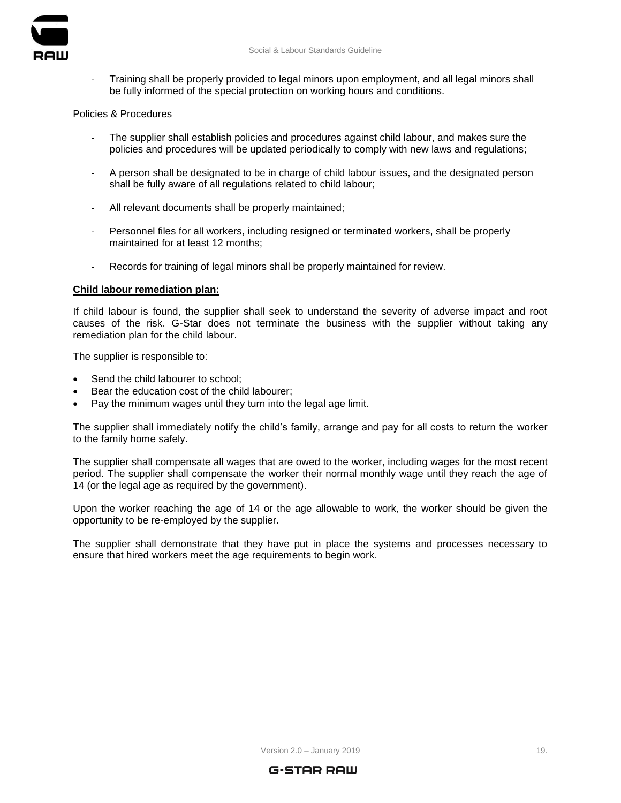

- Training shall be properly provided to legal minors upon employment, and all legal minors shall be fully informed of the special protection on working hours and conditions.

#### Policies & Procedures

- The supplier shall establish policies and procedures against child labour, and makes sure the policies and procedures will be updated periodically to comply with new laws and regulations;
- A person shall be designated to be in charge of child labour issues, and the designated person shall be fully aware of all regulations related to child labour;
- All relevant documents shall be properly maintained;
- Personnel files for all workers, including resigned or terminated workers, shall be properly maintained for at least 12 months;
- Records for training of legal minors shall be properly maintained for review.

# **Child labour remediation plan:**

If child labour is found, the supplier shall seek to understand the severity of adverse impact and root causes of the risk. G-Star does not terminate the business with the supplier without taking any remediation plan for the child labour.

The supplier is responsible to:

- Send the child labourer to school;
- Bear the education cost of the child labourer;
- Pay the minimum wages until they turn into the legal age limit.

The supplier shall immediately notify the child's family, arrange and pay for all costs to return the worker to the family home safely.

The supplier shall compensate all wages that are owed to the worker, including wages for the most recent period. The supplier shall compensate the worker their normal monthly wage until they reach the age of 14 (or the legal age as required by the government).

Upon the worker reaching the age of 14 or the age allowable to work, the worker should be given the opportunity to be re-employed by the supplier.

The supplier shall demonstrate that they have put in place the systems and processes necessary to ensure that hired workers meet the age requirements to begin work.

Version 2.0 – January 2019 19.

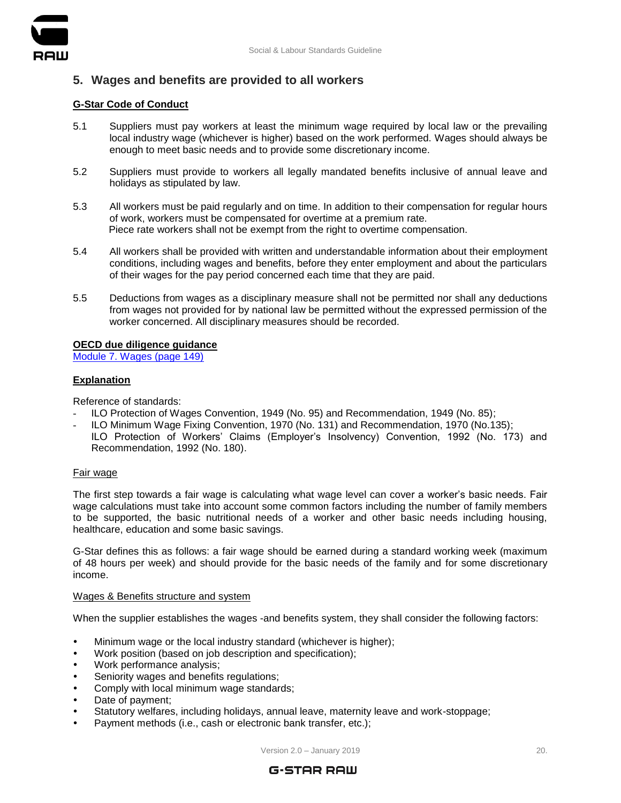

# <span id="page-19-0"></span>**5. Wages and benefits are provided to all workers**

## **G-Star Code of Conduct**

- 5.1 Suppliers must pay workers at least the minimum wage required by local law or the prevailing local industry wage (whichever is higher) based on the work performed. Wages should always be enough to meet basic needs and to provide some discretionary income.
- 5.2 Suppliers must provide to workers all legally mandated benefits inclusive of annual leave and holidays as stipulated by law.
- 5.3 All workers must be paid regularly and on time. In addition to their compensation for regular hours of work, workers must be compensated for overtime at a premium rate. Piece rate workers shall not be exempt from the right to overtime compensation.
- 5.4 All workers shall be provided with written and understandable information about their employment conditions, including wages and benefits, before they enter employment and about the particulars of their wages for the pay period concerned each time that they are paid.
- 5.5 Deductions from wages as a disciplinary measure shall not be permitted nor shall any deductions from wages not provided for by national law be permitted without the expressed permission of the worker concerned. All disciplinary measures should be recorded.

#### **OECD due diligence guidance**

[Module 7. Wages \(page 149\)](https://mneguidelines.oecd.org/OECD-Due-Diligence-Guidance-Garment-Footwear.pdf)

# **Explanation**

Reference of standards:

- ILO Protection of Wages Convention, 1949 (No. 95) and Recommendation, 1949 (No. 85);
- ILO Minimum Wage Fixing Convention, 1970 (No. 131) and Recommendation, 1970 (No.135);
- ILO Protection of Workers' Claims (Employer's Insolvency) Convention, 1992 (No. 173) and Recommendation, 1992 (No. 180).

#### Fair wage

The first step towards a fair wage is calculating what wage level can cover a worker's basic needs. Fair wage calculations must take into account some common factors including the number of family members to be supported, the basic nutritional needs of a worker and other basic needs including housing, healthcare, education and some basic savings.

G-Star defines this as follows: a fair wage should be earned during a standard working week (maximum of 48 hours per week) and should provide for the basic needs of the family and for some discretionary income.

#### Wages & Benefits structure and system

When the supplier establishes the wages -and benefits system, they shall consider the following factors:

- Minimum wage or the local industry standard (whichever is higher);
- Work position (based on job description and specification);
- Work performance analysis;
- Seniority wages and benefits regulations;
- Comply with local minimum wage standards;
- Date of payment;
- Statutory welfares, including holidays, annual leave, maternity leave and work-stoppage;
- Payment methods (i.e., cash or electronic bank transfer, etc.);

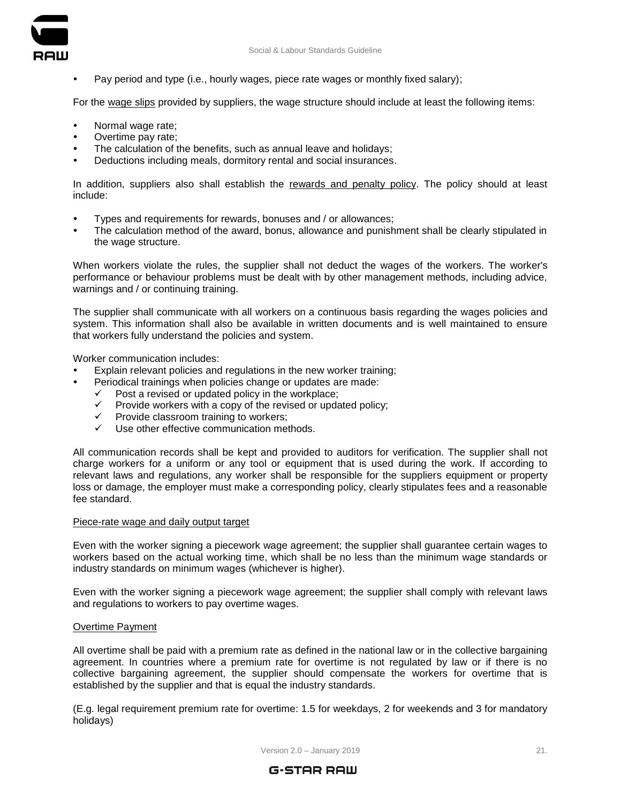



Pay period and type (i.e., hourly wages, piece rate wages or monthly fixed salary);

For the wage slips provided by suppliers, the wage structure should include at least the following items:

- Normal wage rate;
- Overtime pay rate;
- The calculation of the benefits, such as annual leave and holidays;
- Deductions including meals, dormitory rental and social insurances.

In addition, suppliers also shall establish the rewards and penalty policy. The policy should at least include:

- Types and requirements for rewards, bonuses and / or allowances;
- The calculation method of the award, bonus, allowance and punishment shall be clearly stipulated in the wage structure.

When workers violate the rules, the supplier shall not deduct the wages of the workers. The worker's performance or behaviour problems must be dealt with by other management methods, including advice, warnings and / or continuing training.

The supplier shall communicate with all workers on a continuous basis regarding the wages policies and system. This information shall also be available in written documents and is well maintained to ensure that workers fully understand the policies and system.

Worker communication includes:

- Explain relevant policies and regulations in the new worker training;
	- Periodical trainings when policies change or updates are made:
		- $\checkmark$  Post a revised or updated policy in the workplace;
		- $\checkmark$  Provide workers with a copy of the revised or updated policy;
		- $\checkmark$  Provide classroom training to workers;
		- $\checkmark$  Use other effective communication methods.

All communication records shall be kept and provided to auditors for verification. The supplier shall not charge workers for a uniform or any tool or equipment that is used during the work. If according to relevant laws and regulations, any worker shall be responsible for the suppliers equipment or property loss or damage, the employer must make a corresponding policy, clearly stipulates fees and a reasonable fee standard.

# Piece-rate wage and daily output target

Even with the worker signing a piecework wage agreement; the supplier shall guarantee certain wages to workers based on the actual working time, which shall be no less than the minimum wage standards or industry standards on minimum wages (whichever is higher).

Even with the worker signing a piecework wage agreement; the supplier shall comply with relevant laws and regulations to workers to pay overtime wages.

# Overtime Payment

All overtime shall be paid with a premium rate as defined in the national law or in the collective bargaining agreement. In countries where a premium rate for overtime is not regulated by law or if there is no collective bargaining agreement, the supplier should compensate the workers for overtime that is established by the supplier and that is equal the industry standards.

(E.g. legal requirement premium rate for overtime: 1.5 for weekdays, 2 for weekends and 3 for mandatory holidays)

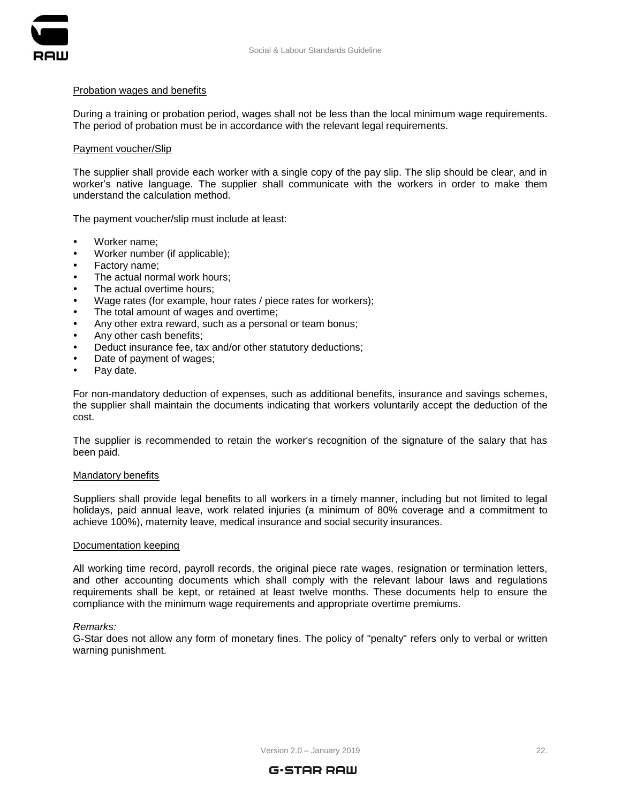

#### Probation wages and benefits

During a training or probation period, wages shall not be less than the local minimum wage requirements. The period of probation must be in accordance with the relevant legal requirements.

# Payment voucher/Slip

The supplier shall provide each worker with a single copy of the pay slip. The slip should be clear, and in worker's native language. The supplier shall communicate with the workers in order to make them understand the calculation method.

The payment voucher/slip must include at least:

- Worker name:
- Worker number (if applicable);
- Factory name;
- The actual normal work hours;
- The actual overtime hours;
- Wage rates (for example, hour rates / piece rates for workers);
- The total amount of wages and overtime;
- Any other extra reward, such as a personal or team bonus;
- Any other cash benefits;
- Deduct insurance fee, tax and/or other statutory deductions;
- Date of payment of wages;
- Pay date.

For non-mandatory deduction of expenses, such as additional benefits, insurance and savings schemes, the supplier shall maintain the documents indicating that workers voluntarily accept the deduction of the cost.

The supplier is recommended to retain the worker's recognition of the signature of the salary that has been paid.

#### Mandatory benefits

Suppliers shall provide legal benefits to all workers in a timely manner, including but not limited to legal holidays, paid annual leave, work related injuries (a minimum of 80% coverage and a commitment to achieve 100%), maternity leave, medical insurance and social security insurances.

#### Documentation keeping

All working time record, payroll records, the original piece rate wages, resignation or termination letters, and other accounting documents which shall comply with the relevant labour laws and regulations requirements shall be kept, or retained at least twelve months. These documents help to ensure the compliance with the minimum wage requirements and appropriate overtime premiums.

#### *Remarks:*

G-Star does not allow any form of monetary fines. The policy of "penalty" refers only to verbal or written warning punishment.

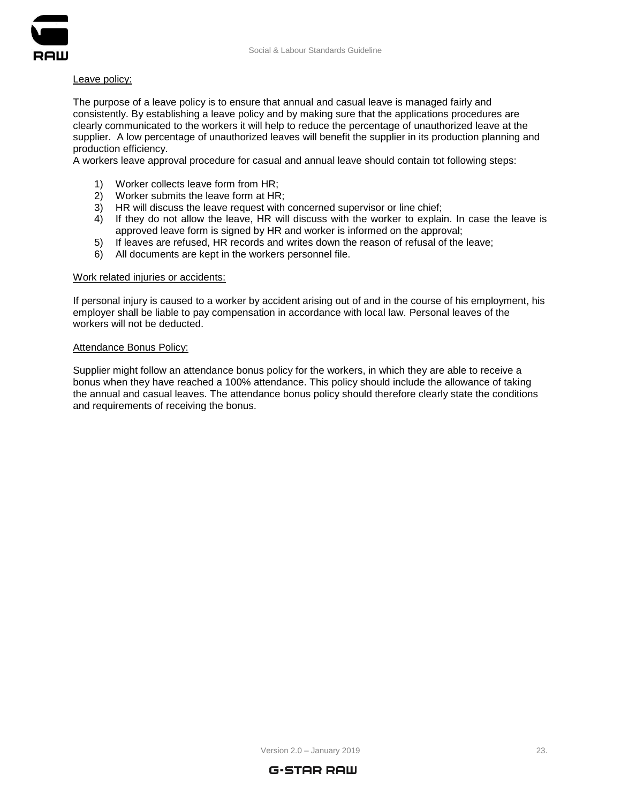

# Leave policy:

The purpose of a leave policy is to ensure that annual and casual leave is managed fairly and consistently. By establishing a leave policy and by making sure that the applications procedures are clearly communicated to the workers it will help to reduce the percentage of unauthorized leave at the supplier. A low percentage of unauthorized leaves will benefit the supplier in its production planning and production efficiency.

A workers leave approval procedure for casual and annual leave should contain tot following steps:

- 1) Worker collects leave form from HR;
- 2) Worker submits the leave form at HR;
- 3) HR will discuss the leave request with concerned supervisor or line chief;
- 4) If they do not allow the leave, HR will discuss with the worker to explain. In case the leave is approved leave form is signed by HR and worker is informed on the approval;
- 5) If leaves are refused, HR records and writes down the reason of refusal of the leave;
- 6) All documents are kept in the workers personnel file.

#### Work related injuries or accidents:

If personal injury is caused to a worker by accident arising out of and in the course of his employment, his employer shall be liable to pay compensation in accordance with local law. Personal leaves of the workers will not be deducted.

#### Attendance Bonus Policy:

Supplier might follow an attendance bonus policy for the workers, in which they are able to receive a bonus when they have reached a 100% attendance. This policy should include the allowance of taking the annual and casual leaves. The attendance bonus policy should therefore clearly state the conditions and requirements of receiving the bonus.

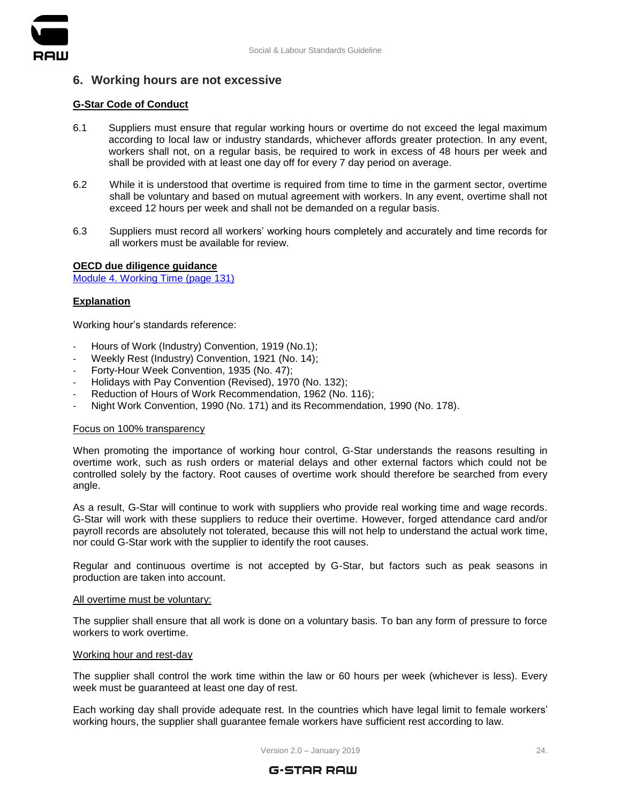



# <span id="page-23-0"></span>**6. Working hours are not excessive**

# **G-Star Code of Conduct**

- 6.1 Suppliers must ensure that regular working hours or overtime do not exceed the legal maximum according to local law or industry standards, whichever affords greater protection. In any event, workers shall not, on a regular basis, be required to work in excess of 48 hours per week and shall be provided with at least one day off for every 7 day period on average.
- 6.2 While it is understood that overtime is required from time to time in the garment sector, overtime shall be voluntary and based on mutual agreement with workers. In any event, overtime shall not exceed 12 hours per week and shall not be demanded on a regular basis.
- 6.3 Suppliers must record all workers' working hours completely and accurately and time records for all workers must be available for review.

#### **OECD due diligence guidance**

[Module 4. Working Time \(page 131\)](https://mneguidelines.oecd.org/OECD-Due-Diligence-Guidance-Garment-Footwear.pdf)

# **Explanation**

Working hour's standards reference:

- Hours of Work (Industry) Convention, 1919 (No.1);
- Weekly Rest (Industry) Convention, 1921 (No. 14);
- Forty-Hour Week Convention, 1935 (No. 47);
- Holidays with Pay Convention (Revised), 1970 (No. 132);
- Reduction of Hours of Work Recommendation, 1962 (No. 116);
- Night Work Convention, 1990 (No. 171) and its Recommendation, 1990 (No. 178).

# Focus on 100% transparency

When promoting the importance of working hour control, G-Star understands the reasons resulting in overtime work, such as rush orders or material delays and other external factors which could not be controlled solely by the factory. Root causes of overtime work should therefore be searched from every angle.

As a result, G-Star will continue to work with suppliers who provide real working time and wage records. G-Star will work with these suppliers to reduce their overtime. However, forged attendance card and/or payroll records are absolutely not tolerated, because this will not help to understand the actual work time, nor could G-Star work with the supplier to identify the root causes.

Regular and continuous overtime is not accepted by G-Star, but factors such as peak seasons in production are taken into account.

#### All overtime must be voluntary:

The supplier shall ensure that all work is done on a voluntary basis. To ban any form of pressure to force workers to work overtime.

#### Working hour and rest-day

The supplier shall control the work time within the law or 60 hours per week (whichever is less). Every week must be guaranteed at least one day of rest.

Each working day shall provide adequate rest. In the countries which have legal limit to female workers' working hours, the supplier shall guarantee female workers have sufficient rest according to law.

Version 2.0 – January 2019 **24.** November 2019

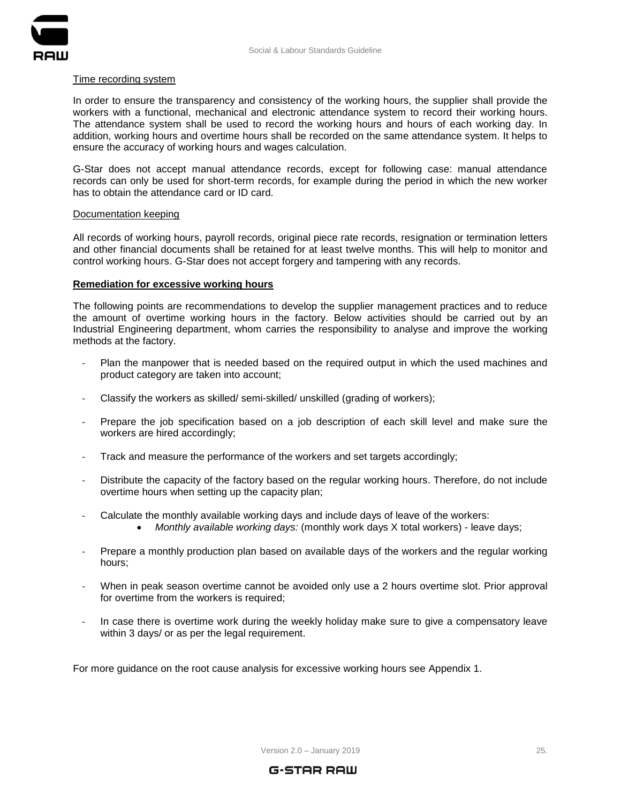

#### Time recording system

In order to ensure the transparency and consistency of the working hours, the supplier shall provide the workers with a functional, mechanical and electronic attendance system to record their working hours. The attendance system shall be used to record the working hours and hours of each working day. In addition, working hours and overtime hours shall be recorded on the same attendance system. It helps to ensure the accuracy of working hours and wages calculation.

G-Star does not accept manual attendance records, except for following case: manual attendance records can only be used for short-term records, for example during the period in which the new worker has to obtain the attendance card or ID card.

#### Documentation keeping

All records of working hours, payroll records, original piece rate records, resignation or termination letters and other financial documents shall be retained for at least twelve months. This will help to monitor and control working hours. G-Star does not accept forgery and tampering with any records.

#### **Remediation for excessive working hours**

The following points are recommendations to develop the supplier management practices and to reduce the amount of overtime working hours in the factory. Below activities should be carried out by an Industrial Engineering department, whom carries the responsibility to analyse and improve the working methods at the factory.

- Plan the manpower that is needed based on the required output in which the used machines and product category are taken into account;
- Classify the workers as skilled/ semi-skilled/ unskilled (grading of workers);
- Prepare the job specification based on a job description of each skill level and make sure the workers are hired accordingly;
- Track and measure the performance of the workers and set targets accordingly;
- Distribute the capacity of the factory based on the regular working hours. Therefore, do not include overtime hours when setting up the capacity plan;
- Calculate the monthly available working days and include days of leave of the workers:
	- *Monthly available working days:* (monthly work days X total workers) leave days;
- Prepare a monthly production plan based on available days of the workers and the regular working hours;
- When in peak season overtime cannot be avoided only use a 2 hours overtime slot. Prior approval for overtime from the workers is required;
- In case there is overtime work during the weekly holiday make sure to give a compensatory leave within 3 days/ or as per the legal requirement.

For more guidance on the root cause analysis for excessive working hours see [Appendix](#page-35-0) 1.

Version 2.0 – January 2019 2019 25.

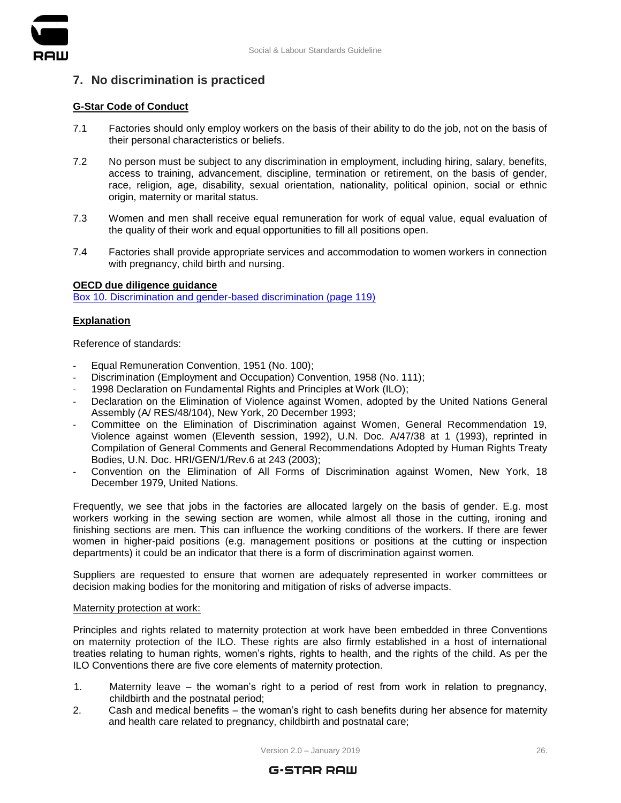

# <span id="page-25-0"></span>**7. No discrimination is practiced**

# **G-Star Code of Conduct**

- 7.1 Factories should only employ workers on the basis of their ability to do the job, not on the basis of their personal characteristics or beliefs.
- 7.2 No person must be subject to any discrimination in employment, including hiring, salary, benefits, access to training, advancement, discipline, termination or retirement, on the basis of gender, race, religion, age, disability, sexual orientation, nationality, political opinion, social or ethnic origin, maternity or marital status.
- 7.3 Women and men shall receive equal remuneration for work of equal value, equal evaluation of the quality of their work and equal opportunities to fill all positions open.
- 7.4 Factories shall provide appropriate services and accommodation to women workers in connection with pregnancy, child birth and nursing.

# **OECD due diligence guidance**

[Box 10. Discrimination and gender-based discrimination \(page 119\)](https://mneguidelines.oecd.org/OECD-Due-Diligence-Guidance-Garment-Footwear.pdf)

# **Explanation**

Reference of standards:

- Equal Remuneration Convention, 1951 (No. 100);
- Discrimination (Employment and Occupation) Convention, 1958 (No. 111);
- 1998 Declaration on Fundamental Rights and Principles at Work (ILO);
- Declaration on the Elimination of Violence against Women, adopted by the United Nations General Assembly (A/ RES/48/104), New York, 20 December 1993;
- Committee on the Elimination of Discrimination against Women, General Recommendation 19, Violence against women (Eleventh session, 1992), U.N. Doc. A/47/38 at 1 (1993), reprinted in Compilation of General Comments and General Recommendations Adopted by Human Rights Treaty Bodies, U.N. Doc. HRI/GEN/1/Rev.6 at 243 (2003);
- Convention on the Elimination of All Forms of Discrimination against Women, New York, 18 December 1979, United Nations.

Frequently, we see that jobs in the factories are allocated largely on the basis of gender. E.g. most workers working in the sewing section are women, while almost all those in the cutting, ironing and finishing sections are men. This can influence the working conditions of the workers. If there are fewer women in higher-paid positions (e.g. management positions or positions at the cutting or inspection departments) it could be an indicator that there is a form of discrimination against women.

Suppliers are requested to ensure that women are adequately represented in worker committees or decision making bodies for the monitoring and mitigation of risks of adverse impacts.

#### Maternity protection at work:

Principles and rights related to maternity protection at work have been embedded in three Conventions on maternity protection of the ILO. These rights are also firmly established in a host of international treaties relating to human rights, women's rights, rights to health, and the rights of the child. As per the ILO Conventions there are five core elements of maternity protection.

- 1. Maternity leave the woman's right to a period of rest from work in relation to pregnancy, childbirth and the postnatal period;
- 2. Cash and medical benefits the woman's right to cash benefits during her absence for maternity and health care related to pregnancy, childbirth and postnatal care;

Version 2.0 – January 2019 **2018** 2019 **2018** 

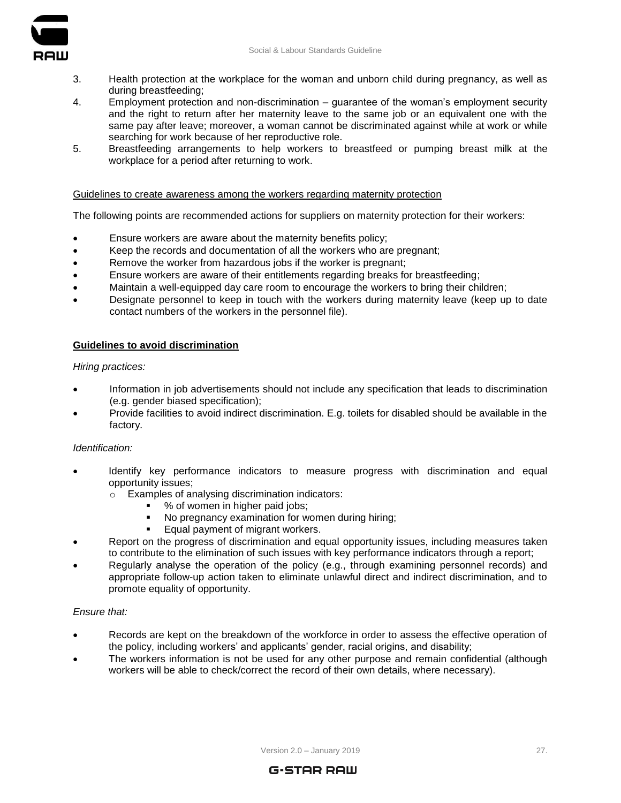

- 3. Health protection at the workplace for the woman and unborn child during pregnancy, as well as during breastfeeding;
- 4. Employment protection and non-discrimination guarantee of the woman's employment security and the right to return after her maternity leave to the same job or an equivalent one with the same pay after leave; moreover, a woman cannot be discriminated against while at work or while searching for work because of her reproductive role.
- 5. Breastfeeding arrangements to help workers to breastfeed or pumping breast milk at the workplace for a period after returning to work.

# Guidelines to create awareness among the workers regarding maternity protection

The following points are recommended actions for suppliers on maternity protection for their workers:

- Ensure workers are aware about the maternity benefits policy;
- Keep the records and documentation of all the workers who are pregnant;
- Remove the worker from hazardous jobs if the worker is pregnant;
- Ensure workers are aware of their entitlements regarding breaks for breastfeeding;
- Maintain a well-equipped day care room to encourage the workers to bring their children;
- Designate personnel to keep in touch with the workers during maternity leave (keep up to date contact numbers of the workers in the personnel file).

#### **Guidelines to avoid discrimination**

*Hiring practices:*

- Information in job advertisements should not include any specification that leads to discrimination (e.g. gender biased specification);
- Provide facilities to avoid indirect discrimination. E.g. toilets for disabled should be available in the factory.

#### *Identification:*

- Identify key performance indicators to measure progress with discrimination and equal opportunity issues;
	- o Examples of analysing discrimination indicators:
		- % of women in higher paid jobs;
		- No pregnancy examination for women during hiring;
		- Equal payment of migrant workers.
- Report on the progress of discrimination and equal opportunity issues, including measures taken to contribute to the elimination of such issues with key performance indicators through a report;
- Regularly analyse the operation of the policy (e.g., through examining personnel records) and appropriate follow-up action taken to eliminate unlawful direct and indirect discrimination, and to promote equality of opportunity.

#### *Ensure that:*

- Records are kept on the breakdown of the workforce in order to assess the effective operation of the policy, including workers' and applicants' gender, racial origins, and disability;
- The workers information is not be used for any other purpose and remain confidential (although workers will be able to check/correct the record of their own details, where necessary).

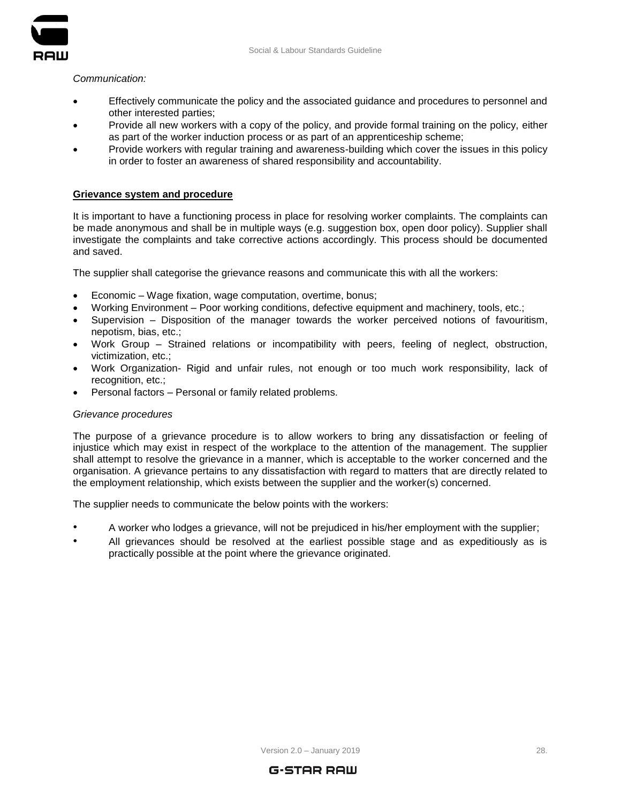

*Communication:*

- Effectively communicate the policy and the associated guidance and procedures to personnel and other interested parties;
- Provide all new workers with a copy of the policy, and provide formal training on the policy, either as part of the worker induction process or as part of an apprenticeship scheme;
- Provide workers with regular training and awareness-building which cover the issues in this policy in order to foster an awareness of shared responsibility and accountability.

#### **Grievance system and procedure**

It is important to have a functioning process in place for resolving worker complaints. The complaints can be made anonymous and shall be in multiple ways (e.g. suggestion box, open door policy). Supplier shall investigate the complaints and take corrective actions accordingly. This process should be documented and saved.

The supplier shall categorise the grievance reasons and communicate this with all the workers:

- Economic Wage fixation, wage computation, overtime, bonus;
- Working Environment Poor working conditions, defective equipment and machinery, tools, etc.;
- Supervision Disposition of the manager towards the worker perceived notions of favouritism, nepotism, bias, etc.;
- Work Group Strained relations or incompatibility with peers, feeling of neglect, obstruction, victimization, etc.;
- Work Organization- Rigid and unfair rules, not enough or too much work responsibility, lack of recognition, etc.;
- Personal factors Personal or family related problems.

#### *Grievance procedures*

The purpose of a grievance procedure is to allow workers to bring any dissatisfaction or feeling of injustice which may exist in respect of the workplace to the attention of the management. The supplier shall attempt to resolve the grievance in a manner, which is acceptable to the worker concerned and the organisation. A grievance pertains to any dissatisfaction with regard to matters that are directly related to the employment relationship, which exists between the supplier and the worker(s) concerned.

The supplier needs to communicate the below points with the workers:

- A worker who lodges a grievance, will not be prejudiced in his/her employment with the supplier;
- All grievances should be resolved at the earliest possible stage and as expeditiously as is practically possible at the point where the grievance originated.

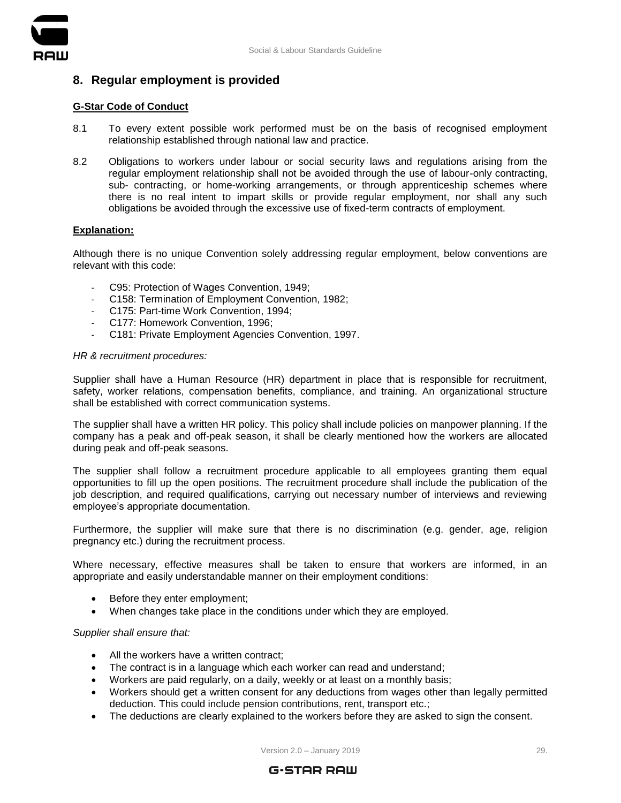



# <span id="page-28-0"></span>**8. Regular employment is provided**

# **G-Star Code of Conduct**

- 8.1 To every extent possible work performed must be on the basis of recognised employment relationship established through national law and practice.
- 8.2 Obligations to workers under labour or social security laws and regulations arising from the regular employment relationship shall not be avoided through the use of labour-only contracting, sub- contracting, or home-working arrangements, or through apprenticeship schemes where there is no real intent to impart skills or provide regular employment, nor shall any such obligations be avoided through the excessive use of fixed-term contracts of employment.

# **Explanation:**

Although there is no unique Convention solely addressing regular employment, below conventions are relevant with this code:

- C95: Protection of Wages Convention, 1949;
- C158: Termination of Employment Convention, 1982;
- C175: Part-time Work Convention, 1994;
- C177: Homework Convention, 1996;
- C181: Private Employment Agencies Convention, 1997.

# *HR & recruitment procedures:*

Supplier shall have a Human Resource (HR) department in place that is responsible for recruitment, safety, worker relations, compensation benefits, compliance, and training. An organizational structure shall be established with correct communication systems.

The supplier shall have a written HR policy. This policy shall include policies on manpower planning. If the company has a peak and off-peak season, it shall be clearly mentioned how the workers are allocated during peak and off-peak seasons.

The supplier shall follow a recruitment procedure applicable to all employees granting them equal opportunities to fill up the open positions. The recruitment procedure shall include the publication of the job description, and required qualifications, carrying out necessary number of interviews and reviewing employee's appropriate documentation.

Furthermore, the supplier will make sure that there is no discrimination (e.g. gender, age, religion pregnancy etc.) during the recruitment process.

Where necessary, effective measures shall be taken to ensure that workers are informed, in an appropriate and easily understandable manner on their employment conditions:

- Before they enter employment;
- When changes take place in the conditions under which they are employed.

# *Supplier shall ensure that:*

- All the workers have a written contract;
- The contract is in a language which each worker can read and understand;
- Workers are paid regularly, on a daily, weekly or at least on a monthly basis;
- Workers should get a written consent for any deductions from wages other than legally permitted deduction. This could include pension contributions, rent, transport etc.;
- The deductions are clearly explained to the workers before they are asked to sign the consent.

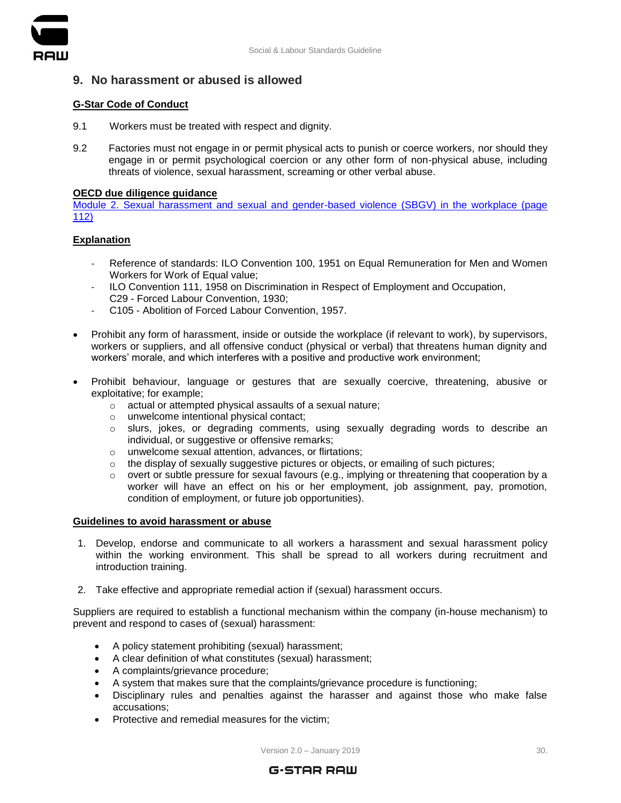

# <span id="page-29-0"></span>**9. No harassment or abused is allowed**

# **G-Star Code of Conduct**

- 9.1 Workers must be treated with respect and dignity.
- 9.2 Factories must not engage in or permit physical acts to punish or coerce workers, nor should they engage in or permit psychological coercion or any other form of non-physical abuse, including threats of violence, sexual harassment, screaming or other verbal abuse.

# **OECD due diligence guidance**

[Module 2. Sexual harassment and sexual and gender-based violence \(SBGV\) in the workplace \(page](https://mneguidelines.oecd.org/OECD-Due-Diligence-Guidance-Garment-Footwear.pdf)  [112\)](https://mneguidelines.oecd.org/OECD-Due-Diligence-Guidance-Garment-Footwear.pdf)

# **Explanation**

- Reference of standards: ILO Convention 100, 1951 on Equal Remuneration for Men and Women Workers for Work of Equal value:
- ILO Convention 111, 1958 on Discrimination in Respect of Employment and Occupation, C29 - Forced Labour Convention, 1930;
- C105 Abolition of Forced Labour Convention, 1957.
- Prohibit any form of harassment, inside or outside the workplace (if relevant to work), by supervisors, workers or suppliers, and all offensive conduct (physical or verbal) that threatens human dignity and workers' morale, and which interferes with a positive and productive work environment;
- Prohibit behaviour, language or gestures that are sexually coercive, threatening, abusive or exploitative; for example;
	- o actual or attempted physical assaults of a sexual nature;
	- o unwelcome intentional physical contact;
	- o slurs, jokes, or degrading comments, using sexually degrading words to describe an individual, or suggestive or offensive remarks;
	- o unwelcome sexual attention, advances, or flirtations;
	- $\circ$  the display of sexually suggestive pictures or objects, or emailing of such pictures;
	- $\circ$  overt or subtle pressure for sexual favours (e.g., implying or threatening that cooperation by a worker will have an effect on his or her employment, job assignment, pay, promotion, condition of employment, or future job opportunities).

# **Guidelines to avoid harassment or abuse**

- 1. Develop, endorse and communicate to all workers a harassment and sexual harassment policy within the working environment. This shall be spread to all workers during recruitment and introduction training.
- 2. Take effective and appropriate remedial action if (sexual) harassment occurs.

Suppliers are required to establish a functional mechanism within the company (in-house mechanism) to prevent and respond to cases of (sexual) harassment:

- A policy statement prohibiting (sexual) harassment;
- A clear definition of what constitutes (sexual) harassment;
- A complaints/grievance procedure;
- A system that makes sure that the complaints/grievance procedure is functioning;
- Disciplinary rules and penalties against the harasser and against those who make false accusations;
- Protective and remedial measures for the victim;

 $Version  $2.0 -$  January  $2019$  30.$ 

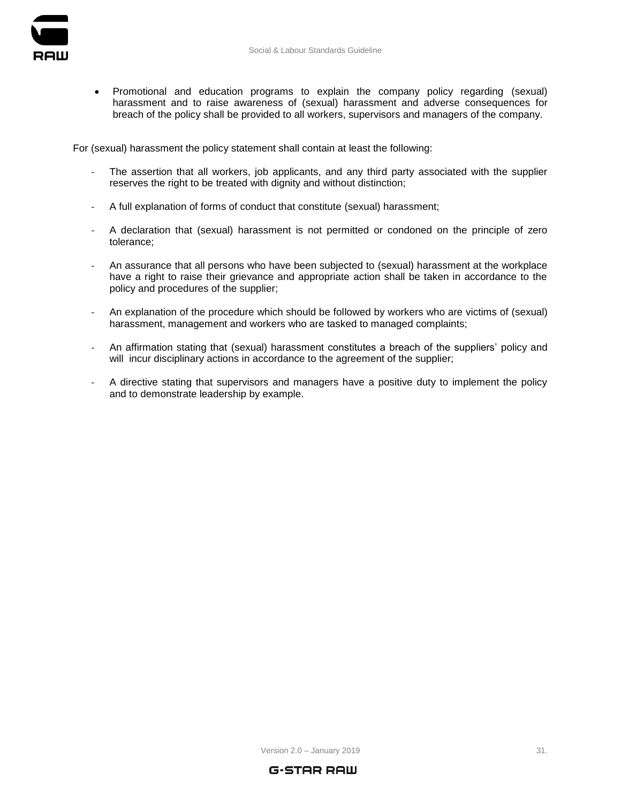

 Promotional and education programs to explain the company policy regarding (sexual) harassment and to raise awareness of (sexual) harassment and adverse consequences for breach of the policy shall be provided to all workers, supervisors and managers of the company.

For (sexual) harassment the policy statement shall contain at least the following:

- The assertion that all workers, job applicants, and any third party associated with the supplier reserves the right to be treated with dignity and without distinction;
- A full explanation of forms of conduct that constitute (sexual) harassment;
- A declaration that (sexual) harassment is not permitted or condoned on the principle of zero tolerance;
- An assurance that all persons who have been subjected to (sexual) harassment at the workplace have a right to raise their grievance and appropriate action shall be taken in accordance to the policy and procedures of the supplier;
- An explanation of the procedure which should be followed by workers who are victims of (sexual) harassment, management and workers who are tasked to managed complaints;
- An affirmation stating that (sexual) harassment constitutes a breach of the suppliers' policy and will incur disciplinary actions in accordance to the agreement of the supplier;
- A directive stating that supervisors and managers have a positive duty to implement the policy and to demonstrate leadership by example.

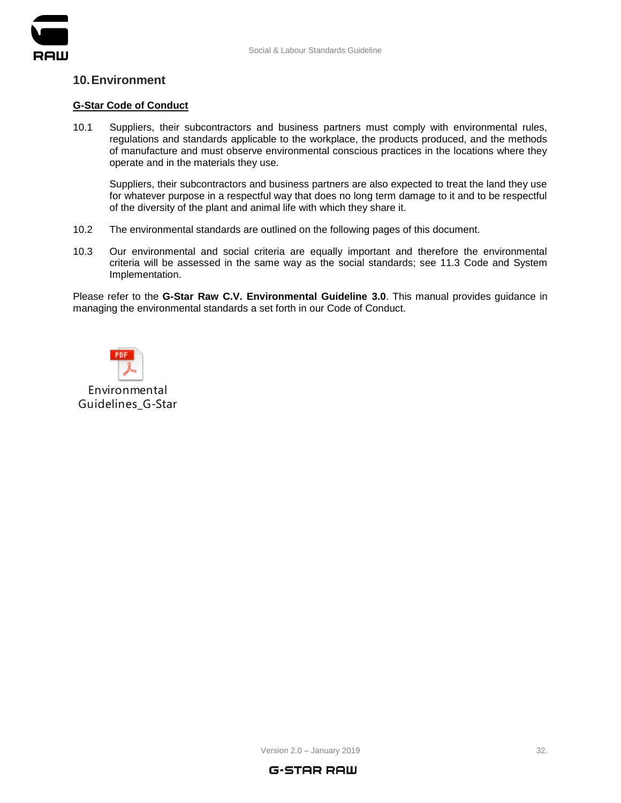

# <span id="page-31-0"></span>**10.Environment**

# **G-Star Code of Conduct**

10.1 Suppliers, their subcontractors and business partners must comply with environmental rules, regulations and standards applicable to the workplace, the products produced, and the methods of manufacture and must observe environmental conscious practices in the locations where they operate and in the materials they use.

Suppliers, their subcontractors and business partners are also expected to treat the land they use for whatever purpose in a respectful way that does no long term damage to it and to be respectful of the diversity of the plant and animal life with which they share it.

- 10.2 The environmental standards are outlined on the following pages of this document.
- 10.3 Our environmental and social criteria are equally important and therefore the environmental criteria will be assessed in the same way as the social standards; see 11.3 Code and System Implementation.

Please refer to the **G-Star Raw C.V. Environmental Guideline 3.0**. This manual provides guidance in managing the environmental standards a set forth in our Code of Conduct.



Environmental Guidelines\_G-Star

Version  $2.0 -$  January 2019  $32.$ 

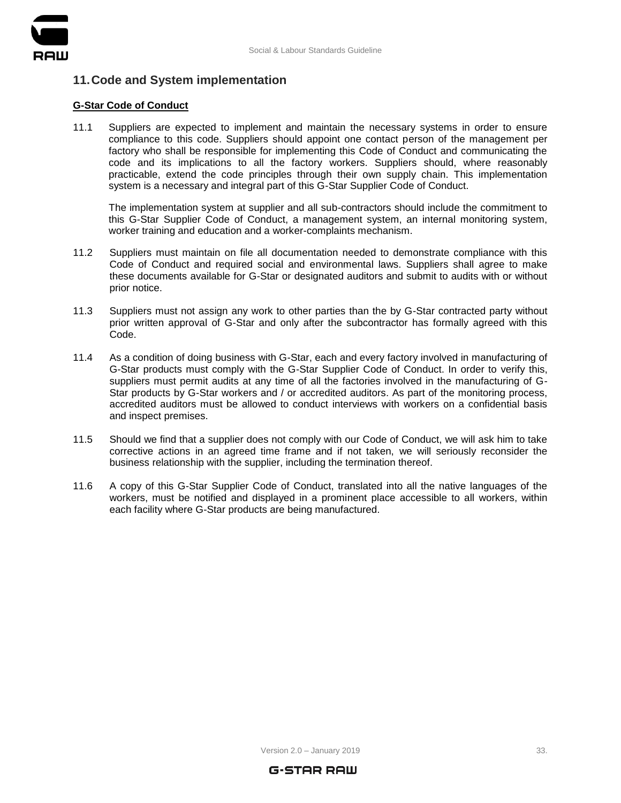

# <span id="page-32-0"></span>**11.Code and System implementation**

# **G-Star Code of Conduct**

11.1 Suppliers are expected to implement and maintain the necessary systems in order to ensure compliance to this code. Suppliers should appoint one contact person of the management per factory who shall be responsible for implementing this Code of Conduct and communicating the code and its implications to all the factory workers. Suppliers should, where reasonably practicable, extend the code principles through their own supply chain. This implementation system is a necessary and integral part of this G-Star Supplier Code of Conduct.

The implementation system at supplier and all sub-contractors should include the commitment to this G-Star Supplier Code of Conduct, a management system, an internal monitoring system, worker training and education and a worker-complaints mechanism.

- 11.2 Suppliers must maintain on file all documentation needed to demonstrate compliance with this Code of Conduct and required social and environmental laws. Suppliers shall agree to make these documents available for G-Star or designated auditors and submit to audits with or without prior notice.
- 11.3 Suppliers must not assign any work to other parties than the by G-Star contracted party without prior written approval of G-Star and only after the subcontractor has formally agreed with this Code.
- 11.4 As a condition of doing business with G-Star, each and every factory involved in manufacturing of G-Star products must comply with the G-Star Supplier Code of Conduct. In order to verify this, suppliers must permit audits at any time of all the factories involved in the manufacturing of G-Star products by G-Star workers and / or accredited auditors. As part of the monitoring process, accredited auditors must be allowed to conduct interviews with workers on a confidential basis and inspect premises.
- 11.5 Should we find that a supplier does not comply with our Code of Conduct, we will ask him to take corrective actions in an agreed time frame and if not taken, we will seriously reconsider the business relationship with the supplier, including the termination thereof.
- 11.6 A copy of this G-Star Supplier Code of Conduct, translated into all the native languages of the workers, must be notified and displayed in a prominent place accessible to all workers, within each facility where G-Star products are being manufactured.



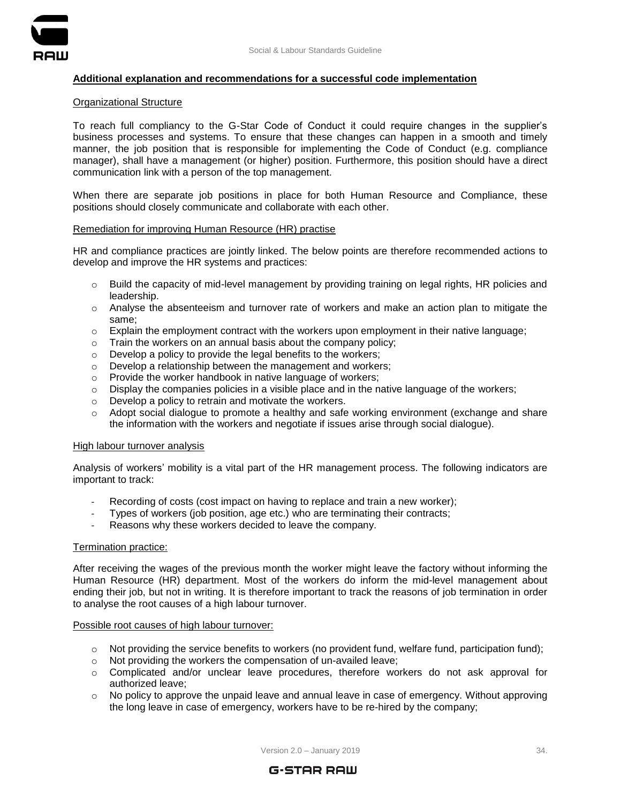

# **Additional explanation and recommendations for a successful code implementation**

#### Organizational Structure

To reach full compliancy to the G-Star Code of Conduct it could require changes in the supplier's business processes and systems. To ensure that these changes can happen in a smooth and timely manner, the job position that is responsible for implementing the Code of Conduct (e.g. compliance manager), shall have a management (or higher) position. Furthermore, this position should have a direct communication link with a person of the top management.

When there are separate job positions in place for both Human Resource and Compliance, these positions should closely communicate and collaborate with each other.

#### Remediation for improving Human Resource (HR) practise

HR and compliance practices are jointly linked. The below points are therefore recommended actions to develop and improve the HR systems and practices:

- $\circ$  Build the capacity of mid-level management by providing training on legal rights, HR policies and leadership.
- o Analyse the absenteeism and turnover rate of workers and make an action plan to mitigate the same;
- o Explain the employment contract with the workers upon employment in their native language;
- o Train the workers on an annual basis about the company policy;
- o Develop a policy to provide the legal benefits to the workers;
- o Develop a relationship between the management and workers;
- o Provide the worker handbook in native language of workers;
- $\circ$  Display the companies policies in a visible place and in the native language of the workers;
- o Develop a policy to retrain and motivate the workers.
- $\circ$  Adopt social dialogue to promote a healthy and safe working environment (exchange and share the information with the workers and negotiate if issues arise through social dialogue).

#### High labour turnover analysis

Analysis of workers' mobility is a vital part of the HR management process. The following indicators are important to track:

- Recording of costs (cost impact on having to replace and train a new worker);
- Types of workers (job position, age etc.) who are terminating their contracts;
- Reasons why these workers decided to leave the company.

#### Termination practice:

After receiving the wages of the previous month the worker might leave the factory without informing the Human Resource (HR) department. Most of the workers do inform the mid-level management about ending their job, but not in writing. It is therefore important to track the reasons of job termination in order to analyse the root causes of a high labour turnover.

## Possible root causes of high labour turnover:

- $\circ$  Not providing the service benefits to workers (no provident fund, welfare fund, participation fund);
- o Not providing the workers the compensation of un-availed leave;
- o Complicated and/or unclear leave procedures, therefore workers do not ask approval for authorized leave;
- $\circ$  No policy to approve the unpaid leave and annual leave in case of emergency. Without approving the long leave in case of emergency, workers have to be re-hired by the company;

Version 2.0 - January 2019 **34.** 

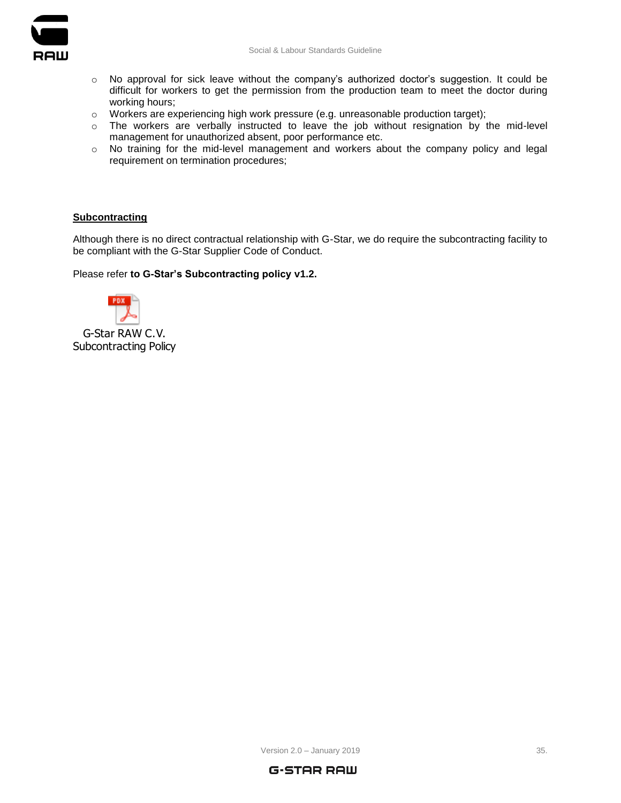

- o No approval for sick leave without the company's authorized doctor's suggestion. It could be difficult for workers to get the permission from the production team to meet the doctor during working hours;
- o Workers are experiencing high work pressure (e.g. unreasonable production target);
- o The workers are verbally instructed to leave the job without resignation by the mid-level management for unauthorized absent, poor performance etc.
- o No training for the mid-level management and workers about the company policy and legal requirement on termination procedures;

# **Subcontracting**

Although there is no direct contractual relationship with G-Star, we do require the subcontracting facility to be compliant with the G-Star Supplier Code of Conduct.

Please refer **to G-Star's Subcontracting policy v1.2.**



Subcontracting Policy



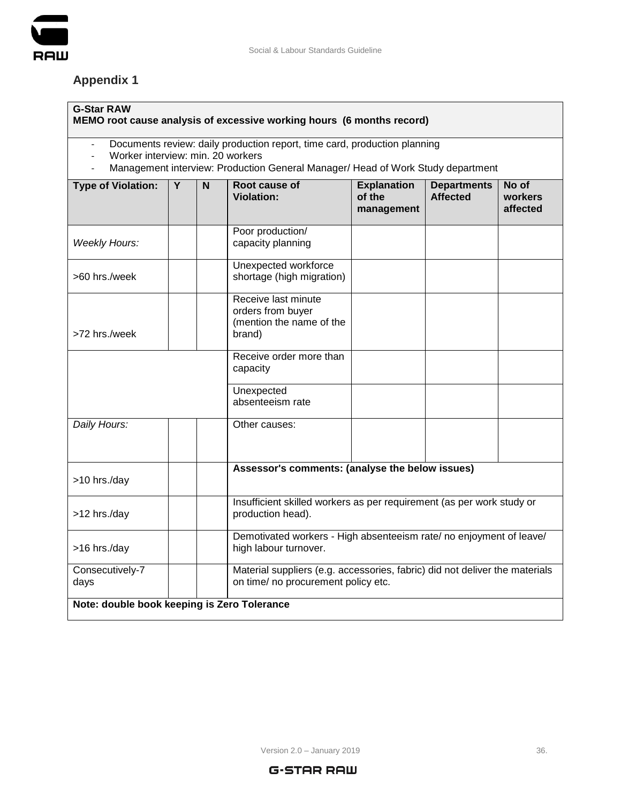

# <span id="page-35-0"></span>**Appendix 1**

# **G-Star RAW**

# **MEMO root cause analysis of excessive working hours (6 months record)**

- Documents review: daily production report, time card, production planning
- Worker interview: min. 20 workers<br>- Management interview: Production
- Management interview: Production General Manager/ Head of Work Study department

| <b>Type of Violation:</b>                   | Y | N                                                                                            | Root cause of<br><b>Violation:</b>                                                                                 | <b>Explanation</b><br>of the<br>management | <b>Departments</b><br><b>Affected</b> | No of<br>workers<br>affected |  |  |
|---------------------------------------------|---|----------------------------------------------------------------------------------------------|--------------------------------------------------------------------------------------------------------------------|--------------------------------------------|---------------------------------------|------------------------------|--|--|
| <b>Weekly Hours:</b>                        |   |                                                                                              | Poor production/<br>capacity planning                                                                              |                                            |                                       |                              |  |  |
| >60 hrs./week                               |   |                                                                                              | Unexpected workforce<br>shortage (high migration)                                                                  |                                            |                                       |                              |  |  |
| >72 hrs./week                               |   |                                                                                              | Receive last minute<br>orders from buyer<br>(mention the name of the<br>brand)                                     |                                            |                                       |                              |  |  |
|                                             |   |                                                                                              | Receive order more than<br>capacity                                                                                |                                            |                                       |                              |  |  |
|                                             |   |                                                                                              | Unexpected<br>absenteeism rate                                                                                     |                                            |                                       |                              |  |  |
| Daily Hours:                                |   |                                                                                              | Other causes:                                                                                                      |                                            |                                       |                              |  |  |
| >10 hrs./day                                |   | Assessor's comments: (analyse the below issues)                                              |                                                                                                                    |                                            |                                       |                              |  |  |
| >12 hrs./day                                |   |                                                                                              | Insufficient skilled workers as per requirement (as per work study or<br>production head).                         |                                            |                                       |                              |  |  |
| >16 hrs./day                                |   | Demotivated workers - High absenteeism rate/ no enjoyment of leave/<br>high labour turnover. |                                                                                                                    |                                            |                                       |                              |  |  |
| Consecutively-7<br>days                     |   |                                                                                              | Material suppliers (e.g. accessories, fabric) did not deliver the materials<br>on time/ no procurement policy etc. |                                            |                                       |                              |  |  |
| Note: double book keeping is Zero Tolerance |   |                                                                                              |                                                                                                                    |                                            |                                       |                              |  |  |